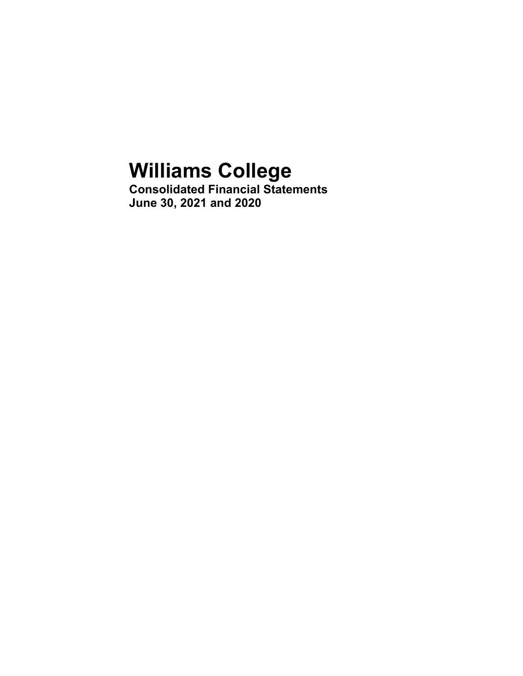# **Williams College**

**Consolidated Financial Statements June 30, 2021 and 2020**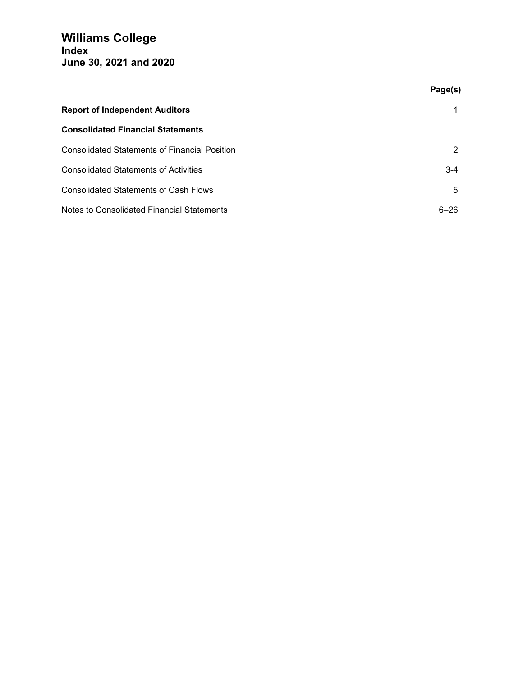|                                                      | Page(s)  |
|------------------------------------------------------|----------|
| <b>Report of Independent Auditors</b>                |          |
| <b>Consolidated Financial Statements</b>             |          |
| <b>Consolidated Statements of Financial Position</b> | 2        |
| <b>Consolidated Statements of Activities</b>         | $3 - 4$  |
| <b>Consolidated Statements of Cash Flows</b>         | 5        |
| Notes to Consolidated Financial Statements           | $6 - 26$ |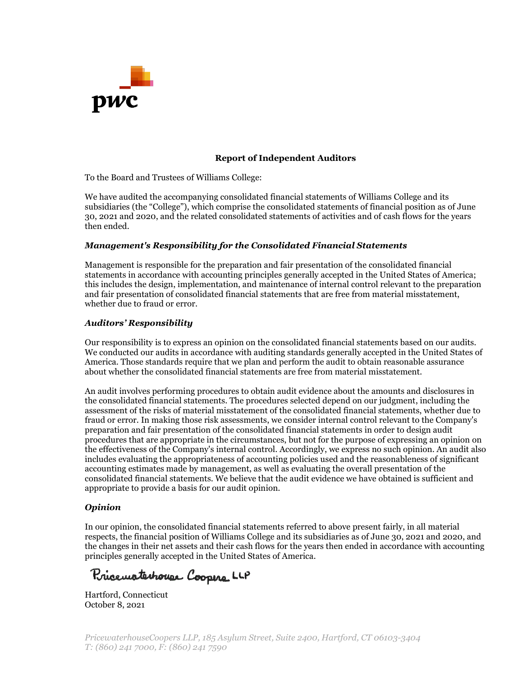

# **Report of Independent Auditors**

To the Board and Trustees of Williams College:

We have audited the accompanying consolidated financial statements of Williams College and its subsidiaries (the "College"), which comprise the consolidated statements of financial position as of June 30, 2021 and 2020, and the related consolidated statements of activities and of cash flows for the years then ended.

## *Management's Responsibility for the Consolidated Financial Statements*

Management is responsible for the preparation and fair presentation of the consolidated financial statements in accordance with accounting principles generally accepted in the United States of America; this includes the design, implementation, and maintenance of internal control relevant to the preparation and fair presentation of consolidated financial statements that are free from material misstatement, whether due to fraud or error.

## *Auditors' Responsibility*

Our responsibility is to express an opinion on the consolidated financial statements based on our audits. We conducted our audits in accordance with auditing standards generally accepted in the United States of America. Those standards require that we plan and perform the audit to obtain reasonable assurance about whether the consolidated financial statements are free from material misstatement.

An audit involves performing procedures to obtain audit evidence about the amounts and disclosures in the consolidated financial statements. The procedures selected depend on our judgment, including the assessment of the risks of material misstatement of the consolidated financial statements, whether due to fraud or error. In making those risk assessments, we consider internal control relevant to the Company's preparation and fair presentation of the consolidated financial statements in order to design audit procedures that are appropriate in the circumstances, but not for the purpose of expressing an opinion on the effectiveness of the Company's internal control. Accordingly, we express no such opinion. An audit also includes evaluating the appropriateness of accounting policies used and the reasonableness of significant accounting estimates made by management, as well as evaluating the overall presentation of the consolidated financial statements. We believe that the audit evidence we have obtained is sufficient and appropriate to provide a basis for our audit opinion.

# *Opinion*

In our opinion, the consolidated financial statements referred to above present fairly, in all material respects, the financial position of Williams College and its subsidiaries as of June 30, 2021 and 2020, and the changes in their net assets and their cash flows for the years then ended in accordance with accounting principles generally accepted in the United States of America.

Pricematerhouse Cooping LLP

Hartford, Connecticut October 8, 2021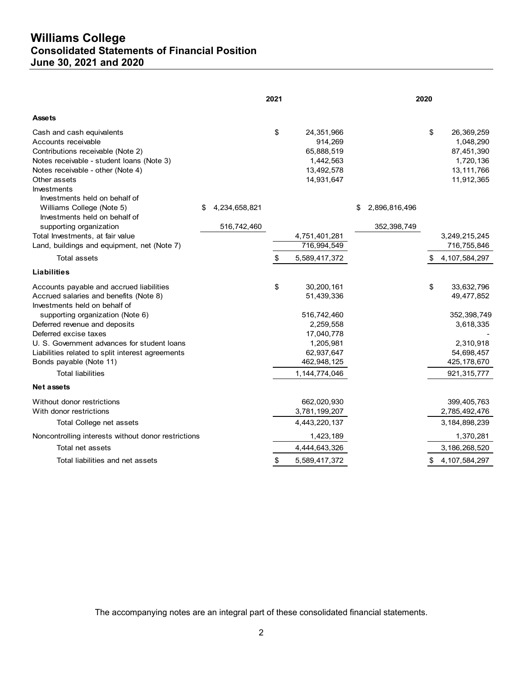# **Williams College Consolidated Statements of Financial Position June 30, 2021 and 2020**

|                                                                                 |     |               | 2021 |                              |                     | 2020 |                  |
|---------------------------------------------------------------------------------|-----|---------------|------|------------------------------|---------------------|------|------------------|
| <b>Assets</b>                                                                   |     |               |      |                              |                     |      |                  |
| Cash and cash equivalents                                                       |     |               | \$   | 24,351,966                   |                     | \$   | 26,369,259       |
| Accounts receivable                                                             |     |               |      | 914,269                      |                     |      | 1,048,290        |
| Contributions receivable (Note 2)                                               |     |               |      | 65,888,519                   |                     |      | 87,451,390       |
| Notes receivable - student loans (Note 3)                                       |     |               |      | 1,442,563                    |                     |      | 1,720,136        |
| Notes receivable - other (Note 4)                                               |     |               |      | 13,492,578                   |                     |      | 13, 111, 766     |
| Other assets                                                                    |     |               |      | 14,931,647                   |                     |      | 11,912,365       |
| Investments                                                                     |     |               |      |                              |                     |      |                  |
| Investments held on behalf of                                                   |     |               |      |                              |                     |      |                  |
| Williams College (Note 5)                                                       | \$. | 4,234,658,821 |      |                              | \$<br>2,896,816,496 |      |                  |
| Investments held on behalf of                                                   |     |               |      |                              |                     |      |                  |
| supporting organization                                                         |     | 516,742,460   |      |                              | 352,398,749         |      | 3,249,215,245    |
| Total Investments, at fair value<br>Land, buildings and equipment, net (Note 7) |     |               |      | 4,751,401,281<br>716,994,549 |                     |      | 716,755,846      |
| <b>Total assets</b>                                                             |     |               | \$   | 5,589,417,372                |                     |      | 4, 107, 584, 297 |
|                                                                                 |     |               |      |                              |                     |      |                  |
| Liabilities                                                                     |     |               |      |                              |                     |      |                  |
| Accounts payable and accrued liabilities                                        |     |               | \$   | 30,200,161                   |                     | \$   | 33,632,796       |
| Accrued salaries and benefits (Note 8)                                          |     |               |      | 51,439,336                   |                     |      | 49,477,852       |
| Investments held on behalf of                                                   |     |               |      |                              |                     |      |                  |
| supporting organization (Note 6)                                                |     |               |      | 516,742,460                  |                     |      | 352, 398, 749    |
| Deferred revenue and deposits                                                   |     |               |      | 2,259,558                    |                     |      | 3,618,335        |
| Deferred excise taxes                                                           |     |               |      | 17,040,778                   |                     |      |                  |
| U. S. Government advances for student loans                                     |     |               |      | 1,205,981                    |                     |      | 2,310,918        |
| Liabilities related to split interest agreements                                |     |               |      | 62,937,647                   |                     |      | 54,698,457       |
| Bonds payable (Note 11)                                                         |     |               |      | 462,948,125                  |                     |      | 425, 178, 670    |
| <b>Total liabilities</b>                                                        |     |               |      | 1, 144, 774, 046             |                     |      | 921, 315, 777    |
| <b>Net assets</b>                                                               |     |               |      |                              |                     |      |                  |
| Without donor restrictions                                                      |     |               |      | 662,020,930                  |                     |      | 399,405,763      |
| With donor restrictions                                                         |     |               |      | 3,781,199,207                |                     |      | 2,785,492,476    |
| Total College net assets                                                        |     |               |      | 4,443,220,137                |                     |      | 3,184,898,239    |
| Noncontrolling interests without donor restrictions                             |     |               |      | 1,423,189                    |                     |      | 1,370,281        |
| Total net assets                                                                |     |               |      | 4,444,643,326                |                     |      | 3, 186, 268, 520 |
| Total liabilities and net assets                                                |     |               | \$   | 5,589,417,372                |                     |      | 4, 107, 584, 297 |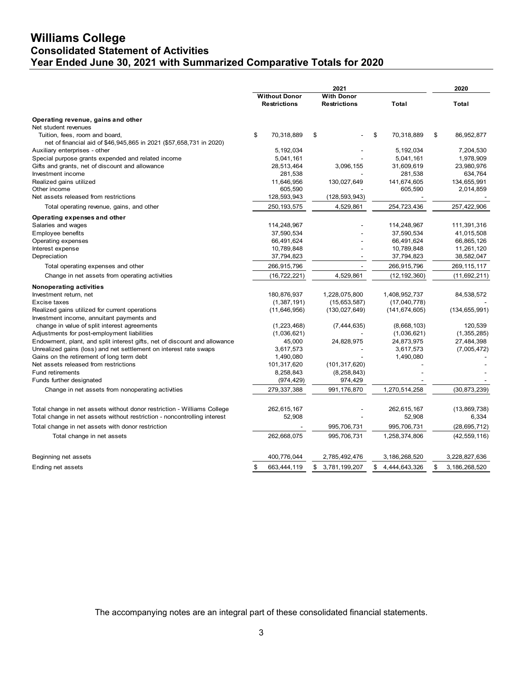# **Williams College Consolidated Statement of Activities Year Ended June 30, 2021 with Summarized Comparative Totals for 2020**

| <b>Without Donor</b><br><b>With Donor</b><br><b>Restrictions</b><br>Total<br><b>Total</b><br><b>Restrictions</b><br>Operating revenue, gains and other<br>Net student revenues<br>70,318,889<br>\$<br>70,318,889<br>Tuition, fees, room and board,<br>\$<br>\$<br>86,952,877<br>\$<br>net of financial aid of \$46,945,865 in 2021 (\$57,658,731 in 2020)<br>5,192,034<br>7,204,530<br>Auxiliary enterprises - other<br>5, 192, 034<br>Special purpose grants expended and related income<br>5,041,161<br>5,041,161<br>1,978,909<br>Gifts and grants, net of discount and allowance<br>3,096,155<br>31,609,619<br>23,980,976<br>28,513,464<br>634,764<br>Investment income<br>281,538<br>281,538<br>11,646,956<br>130,027,649<br>141,674,605<br>134,655,991<br>Realized gains utilized<br>605,590<br>605,590<br>Other income<br>2,014,859<br>Net assets released from restrictions<br>128,593,943<br>(128, 593, 943)<br>250, 193, 575<br>4,529,861<br>254,723,436<br>257,422,906<br>Total operating revenue, gains, and other<br>Operating expenses and other<br>Salaries and wages<br>114,248,967<br>114,248,967<br>111,391,316<br>Employee benefits<br>37,590,534<br>37,590,534<br>41,015,508<br>Operating expenses<br>66,491,624<br>66,491,624<br>66,865,126<br>10,789,848<br>10,789,848<br>11,261,120<br>Interest expense<br>Depreciation<br>37,794,823<br>37,794,823<br>38,582,047<br>266,915,796<br>Total operating expenses and other<br>266,915,796<br>269, 115, 117<br>(16, 722, 221)<br>4,529,861<br>(12, 192, 360)<br>(11, 692, 211)<br>Change in net assets from operating activities<br><b>Nonoperating activities</b><br>180,876,937<br>1,228,075,800<br>1,408,952,737<br>84,538,572<br>Investment return, net<br>(17,040,778)<br>(1,387,191)<br>(15, 653, 587)<br>Excise taxes<br>Realized gains utilized for current operations<br>(11, 646, 956)<br>(130, 027, 649)<br>(141, 674, 605)<br>(134, 655, 991)<br>Investment income, annuitant payments and<br>change in value of split interest agreements<br>(1,223,468)<br>(7, 444, 635)<br>(8,668,103)<br>120,539<br>Adjustments for post-employment liabilities<br>(1,036,621)<br>(1,036,621)<br>(1,355,285)<br>24,828,975<br>27,484,398<br>Endowment, plant, and split interest gifts, net of discount and allowance<br>45,000<br>24,873,975<br>Unrealized gains (loss) and net settlement on interest rate swaps<br>3,617,573<br>3,617,573<br>(7,005,472)<br>Gains on the retirement of long term debt<br>1,490,080<br>1,490,080<br>Net assets released from restrictions<br>101,317,620<br>(101, 317, 620)<br><b>Fund retirements</b><br>8,258,843<br>(8, 258, 843)<br>Funds further designated<br>974,429<br>(974, 429)<br>279,337,388<br>991,176,870<br>1,270,514,258<br>(30, 873, 239)<br>Change in net assets from nonoperating activities<br>Total change in net assets without donor restriction - Williams College<br>262,615,167<br>262,615,167<br>(13, 869, 738)<br>Total change in net assets without restriction - noncontrolling interest<br>52,908<br>52,908<br>6,334<br>Total change in net assets with donor restriction<br>995,706,731<br>995,706,731<br>(28, 695, 712)<br>262,668,075<br>995,706,731<br>1,258,374,806<br>(42, 559, 116)<br>Total change in net assets<br>3,228,827,636<br>Beginning net assets<br>400,776,044<br>2,785,492,476<br>3,186,268,520<br>663,444,119<br>\$4,444,643,326<br>3,186,268,520<br>Ending net assets<br>\$<br>\$3,781,199,207<br>\$ | 2021 |  |  |  |  | 2020 |  |
|-------------------------------------------------------------------------------------------------------------------------------------------------------------------------------------------------------------------------------------------------------------------------------------------------------------------------------------------------------------------------------------------------------------------------------------------------------------------------------------------------------------------------------------------------------------------------------------------------------------------------------------------------------------------------------------------------------------------------------------------------------------------------------------------------------------------------------------------------------------------------------------------------------------------------------------------------------------------------------------------------------------------------------------------------------------------------------------------------------------------------------------------------------------------------------------------------------------------------------------------------------------------------------------------------------------------------------------------------------------------------------------------------------------------------------------------------------------------------------------------------------------------------------------------------------------------------------------------------------------------------------------------------------------------------------------------------------------------------------------------------------------------------------------------------------------------------------------------------------------------------------------------------------------------------------------------------------------------------------------------------------------------------------------------------------------------------------------------------------------------------------------------------------------------------------------------------------------------------------------------------------------------------------------------------------------------------------------------------------------------------------------------------------------------------------------------------------------------------------------------------------------------------------------------------------------------------------------------------------------------------------------------------------------------------------------------------------------------------------------------------------------------------------------------------------------------------------------------------------------------------------------------------------------------------------------------------------------------------------------------------------------------------------------------------------------------------------------------------------------------------------------------------------------------------------------------------------------------------------------------------------------------------------------------------------------------------------------------------------------------------------------------------------------------------------------------------------------|------|--|--|--|--|------|--|
|                                                                                                                                                                                                                                                                                                                                                                                                                                                                                                                                                                                                                                                                                                                                                                                                                                                                                                                                                                                                                                                                                                                                                                                                                                                                                                                                                                                                                                                                                                                                                                                                                                                                                                                                                                                                                                                                                                                                                                                                                                                                                                                                                                                                                                                                                                                                                                                                                                                                                                                                                                                                                                                                                                                                                                                                                                                                                                                                                                                                                                                                                                                                                                                                                                                                                                                                                                                                                                                             |      |  |  |  |  |      |  |
|                                                                                                                                                                                                                                                                                                                                                                                                                                                                                                                                                                                                                                                                                                                                                                                                                                                                                                                                                                                                                                                                                                                                                                                                                                                                                                                                                                                                                                                                                                                                                                                                                                                                                                                                                                                                                                                                                                                                                                                                                                                                                                                                                                                                                                                                                                                                                                                                                                                                                                                                                                                                                                                                                                                                                                                                                                                                                                                                                                                                                                                                                                                                                                                                                                                                                                                                                                                                                                                             |      |  |  |  |  |      |  |
|                                                                                                                                                                                                                                                                                                                                                                                                                                                                                                                                                                                                                                                                                                                                                                                                                                                                                                                                                                                                                                                                                                                                                                                                                                                                                                                                                                                                                                                                                                                                                                                                                                                                                                                                                                                                                                                                                                                                                                                                                                                                                                                                                                                                                                                                                                                                                                                                                                                                                                                                                                                                                                                                                                                                                                                                                                                                                                                                                                                                                                                                                                                                                                                                                                                                                                                                                                                                                                                             |      |  |  |  |  |      |  |
|                                                                                                                                                                                                                                                                                                                                                                                                                                                                                                                                                                                                                                                                                                                                                                                                                                                                                                                                                                                                                                                                                                                                                                                                                                                                                                                                                                                                                                                                                                                                                                                                                                                                                                                                                                                                                                                                                                                                                                                                                                                                                                                                                                                                                                                                                                                                                                                                                                                                                                                                                                                                                                                                                                                                                                                                                                                                                                                                                                                                                                                                                                                                                                                                                                                                                                                                                                                                                                                             |      |  |  |  |  |      |  |
|                                                                                                                                                                                                                                                                                                                                                                                                                                                                                                                                                                                                                                                                                                                                                                                                                                                                                                                                                                                                                                                                                                                                                                                                                                                                                                                                                                                                                                                                                                                                                                                                                                                                                                                                                                                                                                                                                                                                                                                                                                                                                                                                                                                                                                                                                                                                                                                                                                                                                                                                                                                                                                                                                                                                                                                                                                                                                                                                                                                                                                                                                                                                                                                                                                                                                                                                                                                                                                                             |      |  |  |  |  |      |  |
|                                                                                                                                                                                                                                                                                                                                                                                                                                                                                                                                                                                                                                                                                                                                                                                                                                                                                                                                                                                                                                                                                                                                                                                                                                                                                                                                                                                                                                                                                                                                                                                                                                                                                                                                                                                                                                                                                                                                                                                                                                                                                                                                                                                                                                                                                                                                                                                                                                                                                                                                                                                                                                                                                                                                                                                                                                                                                                                                                                                                                                                                                                                                                                                                                                                                                                                                                                                                                                                             |      |  |  |  |  |      |  |
|                                                                                                                                                                                                                                                                                                                                                                                                                                                                                                                                                                                                                                                                                                                                                                                                                                                                                                                                                                                                                                                                                                                                                                                                                                                                                                                                                                                                                                                                                                                                                                                                                                                                                                                                                                                                                                                                                                                                                                                                                                                                                                                                                                                                                                                                                                                                                                                                                                                                                                                                                                                                                                                                                                                                                                                                                                                                                                                                                                                                                                                                                                                                                                                                                                                                                                                                                                                                                                                             |      |  |  |  |  |      |  |
|                                                                                                                                                                                                                                                                                                                                                                                                                                                                                                                                                                                                                                                                                                                                                                                                                                                                                                                                                                                                                                                                                                                                                                                                                                                                                                                                                                                                                                                                                                                                                                                                                                                                                                                                                                                                                                                                                                                                                                                                                                                                                                                                                                                                                                                                                                                                                                                                                                                                                                                                                                                                                                                                                                                                                                                                                                                                                                                                                                                                                                                                                                                                                                                                                                                                                                                                                                                                                                                             |      |  |  |  |  |      |  |
|                                                                                                                                                                                                                                                                                                                                                                                                                                                                                                                                                                                                                                                                                                                                                                                                                                                                                                                                                                                                                                                                                                                                                                                                                                                                                                                                                                                                                                                                                                                                                                                                                                                                                                                                                                                                                                                                                                                                                                                                                                                                                                                                                                                                                                                                                                                                                                                                                                                                                                                                                                                                                                                                                                                                                                                                                                                                                                                                                                                                                                                                                                                                                                                                                                                                                                                                                                                                                                                             |      |  |  |  |  |      |  |
|                                                                                                                                                                                                                                                                                                                                                                                                                                                                                                                                                                                                                                                                                                                                                                                                                                                                                                                                                                                                                                                                                                                                                                                                                                                                                                                                                                                                                                                                                                                                                                                                                                                                                                                                                                                                                                                                                                                                                                                                                                                                                                                                                                                                                                                                                                                                                                                                                                                                                                                                                                                                                                                                                                                                                                                                                                                                                                                                                                                                                                                                                                                                                                                                                                                                                                                                                                                                                                                             |      |  |  |  |  |      |  |
|                                                                                                                                                                                                                                                                                                                                                                                                                                                                                                                                                                                                                                                                                                                                                                                                                                                                                                                                                                                                                                                                                                                                                                                                                                                                                                                                                                                                                                                                                                                                                                                                                                                                                                                                                                                                                                                                                                                                                                                                                                                                                                                                                                                                                                                                                                                                                                                                                                                                                                                                                                                                                                                                                                                                                                                                                                                                                                                                                                                                                                                                                                                                                                                                                                                                                                                                                                                                                                                             |      |  |  |  |  |      |  |
|                                                                                                                                                                                                                                                                                                                                                                                                                                                                                                                                                                                                                                                                                                                                                                                                                                                                                                                                                                                                                                                                                                                                                                                                                                                                                                                                                                                                                                                                                                                                                                                                                                                                                                                                                                                                                                                                                                                                                                                                                                                                                                                                                                                                                                                                                                                                                                                                                                                                                                                                                                                                                                                                                                                                                                                                                                                                                                                                                                                                                                                                                                                                                                                                                                                                                                                                                                                                                                                             |      |  |  |  |  |      |  |
|                                                                                                                                                                                                                                                                                                                                                                                                                                                                                                                                                                                                                                                                                                                                                                                                                                                                                                                                                                                                                                                                                                                                                                                                                                                                                                                                                                                                                                                                                                                                                                                                                                                                                                                                                                                                                                                                                                                                                                                                                                                                                                                                                                                                                                                                                                                                                                                                                                                                                                                                                                                                                                                                                                                                                                                                                                                                                                                                                                                                                                                                                                                                                                                                                                                                                                                                                                                                                                                             |      |  |  |  |  |      |  |
|                                                                                                                                                                                                                                                                                                                                                                                                                                                                                                                                                                                                                                                                                                                                                                                                                                                                                                                                                                                                                                                                                                                                                                                                                                                                                                                                                                                                                                                                                                                                                                                                                                                                                                                                                                                                                                                                                                                                                                                                                                                                                                                                                                                                                                                                                                                                                                                                                                                                                                                                                                                                                                                                                                                                                                                                                                                                                                                                                                                                                                                                                                                                                                                                                                                                                                                                                                                                                                                             |      |  |  |  |  |      |  |
|                                                                                                                                                                                                                                                                                                                                                                                                                                                                                                                                                                                                                                                                                                                                                                                                                                                                                                                                                                                                                                                                                                                                                                                                                                                                                                                                                                                                                                                                                                                                                                                                                                                                                                                                                                                                                                                                                                                                                                                                                                                                                                                                                                                                                                                                                                                                                                                                                                                                                                                                                                                                                                                                                                                                                                                                                                                                                                                                                                                                                                                                                                                                                                                                                                                                                                                                                                                                                                                             |      |  |  |  |  |      |  |
|                                                                                                                                                                                                                                                                                                                                                                                                                                                                                                                                                                                                                                                                                                                                                                                                                                                                                                                                                                                                                                                                                                                                                                                                                                                                                                                                                                                                                                                                                                                                                                                                                                                                                                                                                                                                                                                                                                                                                                                                                                                                                                                                                                                                                                                                                                                                                                                                                                                                                                                                                                                                                                                                                                                                                                                                                                                                                                                                                                                                                                                                                                                                                                                                                                                                                                                                                                                                                                                             |      |  |  |  |  |      |  |
|                                                                                                                                                                                                                                                                                                                                                                                                                                                                                                                                                                                                                                                                                                                                                                                                                                                                                                                                                                                                                                                                                                                                                                                                                                                                                                                                                                                                                                                                                                                                                                                                                                                                                                                                                                                                                                                                                                                                                                                                                                                                                                                                                                                                                                                                                                                                                                                                                                                                                                                                                                                                                                                                                                                                                                                                                                                                                                                                                                                                                                                                                                                                                                                                                                                                                                                                                                                                                                                             |      |  |  |  |  |      |  |
|                                                                                                                                                                                                                                                                                                                                                                                                                                                                                                                                                                                                                                                                                                                                                                                                                                                                                                                                                                                                                                                                                                                                                                                                                                                                                                                                                                                                                                                                                                                                                                                                                                                                                                                                                                                                                                                                                                                                                                                                                                                                                                                                                                                                                                                                                                                                                                                                                                                                                                                                                                                                                                                                                                                                                                                                                                                                                                                                                                                                                                                                                                                                                                                                                                                                                                                                                                                                                                                             |      |  |  |  |  |      |  |
|                                                                                                                                                                                                                                                                                                                                                                                                                                                                                                                                                                                                                                                                                                                                                                                                                                                                                                                                                                                                                                                                                                                                                                                                                                                                                                                                                                                                                                                                                                                                                                                                                                                                                                                                                                                                                                                                                                                                                                                                                                                                                                                                                                                                                                                                                                                                                                                                                                                                                                                                                                                                                                                                                                                                                                                                                                                                                                                                                                                                                                                                                                                                                                                                                                                                                                                                                                                                                                                             |      |  |  |  |  |      |  |
|                                                                                                                                                                                                                                                                                                                                                                                                                                                                                                                                                                                                                                                                                                                                                                                                                                                                                                                                                                                                                                                                                                                                                                                                                                                                                                                                                                                                                                                                                                                                                                                                                                                                                                                                                                                                                                                                                                                                                                                                                                                                                                                                                                                                                                                                                                                                                                                                                                                                                                                                                                                                                                                                                                                                                                                                                                                                                                                                                                                                                                                                                                                                                                                                                                                                                                                                                                                                                                                             |      |  |  |  |  |      |  |
|                                                                                                                                                                                                                                                                                                                                                                                                                                                                                                                                                                                                                                                                                                                                                                                                                                                                                                                                                                                                                                                                                                                                                                                                                                                                                                                                                                                                                                                                                                                                                                                                                                                                                                                                                                                                                                                                                                                                                                                                                                                                                                                                                                                                                                                                                                                                                                                                                                                                                                                                                                                                                                                                                                                                                                                                                                                                                                                                                                                                                                                                                                                                                                                                                                                                                                                                                                                                                                                             |      |  |  |  |  |      |  |
|                                                                                                                                                                                                                                                                                                                                                                                                                                                                                                                                                                                                                                                                                                                                                                                                                                                                                                                                                                                                                                                                                                                                                                                                                                                                                                                                                                                                                                                                                                                                                                                                                                                                                                                                                                                                                                                                                                                                                                                                                                                                                                                                                                                                                                                                                                                                                                                                                                                                                                                                                                                                                                                                                                                                                                                                                                                                                                                                                                                                                                                                                                                                                                                                                                                                                                                                                                                                                                                             |      |  |  |  |  |      |  |
|                                                                                                                                                                                                                                                                                                                                                                                                                                                                                                                                                                                                                                                                                                                                                                                                                                                                                                                                                                                                                                                                                                                                                                                                                                                                                                                                                                                                                                                                                                                                                                                                                                                                                                                                                                                                                                                                                                                                                                                                                                                                                                                                                                                                                                                                                                                                                                                                                                                                                                                                                                                                                                                                                                                                                                                                                                                                                                                                                                                                                                                                                                                                                                                                                                                                                                                                                                                                                                                             |      |  |  |  |  |      |  |
|                                                                                                                                                                                                                                                                                                                                                                                                                                                                                                                                                                                                                                                                                                                                                                                                                                                                                                                                                                                                                                                                                                                                                                                                                                                                                                                                                                                                                                                                                                                                                                                                                                                                                                                                                                                                                                                                                                                                                                                                                                                                                                                                                                                                                                                                                                                                                                                                                                                                                                                                                                                                                                                                                                                                                                                                                                                                                                                                                                                                                                                                                                                                                                                                                                                                                                                                                                                                                                                             |      |  |  |  |  |      |  |
|                                                                                                                                                                                                                                                                                                                                                                                                                                                                                                                                                                                                                                                                                                                                                                                                                                                                                                                                                                                                                                                                                                                                                                                                                                                                                                                                                                                                                                                                                                                                                                                                                                                                                                                                                                                                                                                                                                                                                                                                                                                                                                                                                                                                                                                                                                                                                                                                                                                                                                                                                                                                                                                                                                                                                                                                                                                                                                                                                                                                                                                                                                                                                                                                                                                                                                                                                                                                                                                             |      |  |  |  |  |      |  |
|                                                                                                                                                                                                                                                                                                                                                                                                                                                                                                                                                                                                                                                                                                                                                                                                                                                                                                                                                                                                                                                                                                                                                                                                                                                                                                                                                                                                                                                                                                                                                                                                                                                                                                                                                                                                                                                                                                                                                                                                                                                                                                                                                                                                                                                                                                                                                                                                                                                                                                                                                                                                                                                                                                                                                                                                                                                                                                                                                                                                                                                                                                                                                                                                                                                                                                                                                                                                                                                             |      |  |  |  |  |      |  |
|                                                                                                                                                                                                                                                                                                                                                                                                                                                                                                                                                                                                                                                                                                                                                                                                                                                                                                                                                                                                                                                                                                                                                                                                                                                                                                                                                                                                                                                                                                                                                                                                                                                                                                                                                                                                                                                                                                                                                                                                                                                                                                                                                                                                                                                                                                                                                                                                                                                                                                                                                                                                                                                                                                                                                                                                                                                                                                                                                                                                                                                                                                                                                                                                                                                                                                                                                                                                                                                             |      |  |  |  |  |      |  |
|                                                                                                                                                                                                                                                                                                                                                                                                                                                                                                                                                                                                                                                                                                                                                                                                                                                                                                                                                                                                                                                                                                                                                                                                                                                                                                                                                                                                                                                                                                                                                                                                                                                                                                                                                                                                                                                                                                                                                                                                                                                                                                                                                                                                                                                                                                                                                                                                                                                                                                                                                                                                                                                                                                                                                                                                                                                                                                                                                                                                                                                                                                                                                                                                                                                                                                                                                                                                                                                             |      |  |  |  |  |      |  |
|                                                                                                                                                                                                                                                                                                                                                                                                                                                                                                                                                                                                                                                                                                                                                                                                                                                                                                                                                                                                                                                                                                                                                                                                                                                                                                                                                                                                                                                                                                                                                                                                                                                                                                                                                                                                                                                                                                                                                                                                                                                                                                                                                                                                                                                                                                                                                                                                                                                                                                                                                                                                                                                                                                                                                                                                                                                                                                                                                                                                                                                                                                                                                                                                                                                                                                                                                                                                                                                             |      |  |  |  |  |      |  |
|                                                                                                                                                                                                                                                                                                                                                                                                                                                                                                                                                                                                                                                                                                                                                                                                                                                                                                                                                                                                                                                                                                                                                                                                                                                                                                                                                                                                                                                                                                                                                                                                                                                                                                                                                                                                                                                                                                                                                                                                                                                                                                                                                                                                                                                                                                                                                                                                                                                                                                                                                                                                                                                                                                                                                                                                                                                                                                                                                                                                                                                                                                                                                                                                                                                                                                                                                                                                                                                             |      |  |  |  |  |      |  |
|                                                                                                                                                                                                                                                                                                                                                                                                                                                                                                                                                                                                                                                                                                                                                                                                                                                                                                                                                                                                                                                                                                                                                                                                                                                                                                                                                                                                                                                                                                                                                                                                                                                                                                                                                                                                                                                                                                                                                                                                                                                                                                                                                                                                                                                                                                                                                                                                                                                                                                                                                                                                                                                                                                                                                                                                                                                                                                                                                                                                                                                                                                                                                                                                                                                                                                                                                                                                                                                             |      |  |  |  |  |      |  |
|                                                                                                                                                                                                                                                                                                                                                                                                                                                                                                                                                                                                                                                                                                                                                                                                                                                                                                                                                                                                                                                                                                                                                                                                                                                                                                                                                                                                                                                                                                                                                                                                                                                                                                                                                                                                                                                                                                                                                                                                                                                                                                                                                                                                                                                                                                                                                                                                                                                                                                                                                                                                                                                                                                                                                                                                                                                                                                                                                                                                                                                                                                                                                                                                                                                                                                                                                                                                                                                             |      |  |  |  |  |      |  |
|                                                                                                                                                                                                                                                                                                                                                                                                                                                                                                                                                                                                                                                                                                                                                                                                                                                                                                                                                                                                                                                                                                                                                                                                                                                                                                                                                                                                                                                                                                                                                                                                                                                                                                                                                                                                                                                                                                                                                                                                                                                                                                                                                                                                                                                                                                                                                                                                                                                                                                                                                                                                                                                                                                                                                                                                                                                                                                                                                                                                                                                                                                                                                                                                                                                                                                                                                                                                                                                             |      |  |  |  |  |      |  |
|                                                                                                                                                                                                                                                                                                                                                                                                                                                                                                                                                                                                                                                                                                                                                                                                                                                                                                                                                                                                                                                                                                                                                                                                                                                                                                                                                                                                                                                                                                                                                                                                                                                                                                                                                                                                                                                                                                                                                                                                                                                                                                                                                                                                                                                                                                                                                                                                                                                                                                                                                                                                                                                                                                                                                                                                                                                                                                                                                                                                                                                                                                                                                                                                                                                                                                                                                                                                                                                             |      |  |  |  |  |      |  |
|                                                                                                                                                                                                                                                                                                                                                                                                                                                                                                                                                                                                                                                                                                                                                                                                                                                                                                                                                                                                                                                                                                                                                                                                                                                                                                                                                                                                                                                                                                                                                                                                                                                                                                                                                                                                                                                                                                                                                                                                                                                                                                                                                                                                                                                                                                                                                                                                                                                                                                                                                                                                                                                                                                                                                                                                                                                                                                                                                                                                                                                                                                                                                                                                                                                                                                                                                                                                                                                             |      |  |  |  |  |      |  |
|                                                                                                                                                                                                                                                                                                                                                                                                                                                                                                                                                                                                                                                                                                                                                                                                                                                                                                                                                                                                                                                                                                                                                                                                                                                                                                                                                                                                                                                                                                                                                                                                                                                                                                                                                                                                                                                                                                                                                                                                                                                                                                                                                                                                                                                                                                                                                                                                                                                                                                                                                                                                                                                                                                                                                                                                                                                                                                                                                                                                                                                                                                                                                                                                                                                                                                                                                                                                                                                             |      |  |  |  |  |      |  |
|                                                                                                                                                                                                                                                                                                                                                                                                                                                                                                                                                                                                                                                                                                                                                                                                                                                                                                                                                                                                                                                                                                                                                                                                                                                                                                                                                                                                                                                                                                                                                                                                                                                                                                                                                                                                                                                                                                                                                                                                                                                                                                                                                                                                                                                                                                                                                                                                                                                                                                                                                                                                                                                                                                                                                                                                                                                                                                                                                                                                                                                                                                                                                                                                                                                                                                                                                                                                                                                             |      |  |  |  |  |      |  |
|                                                                                                                                                                                                                                                                                                                                                                                                                                                                                                                                                                                                                                                                                                                                                                                                                                                                                                                                                                                                                                                                                                                                                                                                                                                                                                                                                                                                                                                                                                                                                                                                                                                                                                                                                                                                                                                                                                                                                                                                                                                                                                                                                                                                                                                                                                                                                                                                                                                                                                                                                                                                                                                                                                                                                                                                                                                                                                                                                                                                                                                                                                                                                                                                                                                                                                                                                                                                                                                             |      |  |  |  |  |      |  |
|                                                                                                                                                                                                                                                                                                                                                                                                                                                                                                                                                                                                                                                                                                                                                                                                                                                                                                                                                                                                                                                                                                                                                                                                                                                                                                                                                                                                                                                                                                                                                                                                                                                                                                                                                                                                                                                                                                                                                                                                                                                                                                                                                                                                                                                                                                                                                                                                                                                                                                                                                                                                                                                                                                                                                                                                                                                                                                                                                                                                                                                                                                                                                                                                                                                                                                                                                                                                                                                             |      |  |  |  |  |      |  |
|                                                                                                                                                                                                                                                                                                                                                                                                                                                                                                                                                                                                                                                                                                                                                                                                                                                                                                                                                                                                                                                                                                                                                                                                                                                                                                                                                                                                                                                                                                                                                                                                                                                                                                                                                                                                                                                                                                                                                                                                                                                                                                                                                                                                                                                                                                                                                                                                                                                                                                                                                                                                                                                                                                                                                                                                                                                                                                                                                                                                                                                                                                                                                                                                                                                                                                                                                                                                                                                             |      |  |  |  |  |      |  |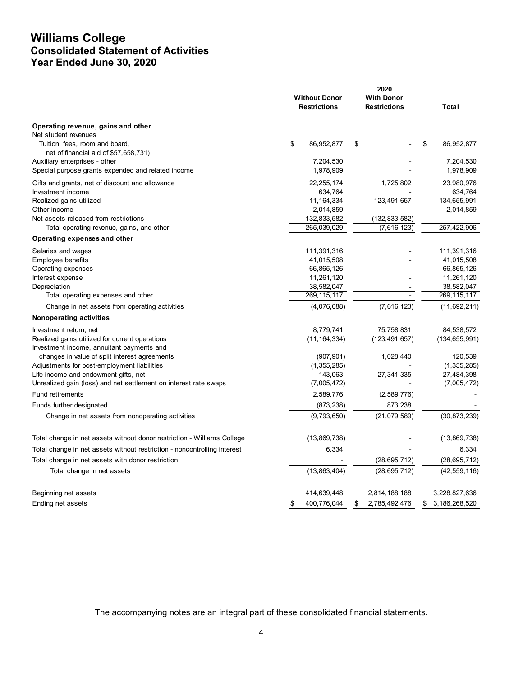# **Williams College Consolidated Statement of Activities Year Ended June 30, 2020**

|                                                                          | 2020                     |                     |                          |  |  |
|--------------------------------------------------------------------------|--------------------------|---------------------|--------------------------|--|--|
|                                                                          | <b>Without Donor</b>     |                     |                          |  |  |
|                                                                          | <b>Restrictions</b>      | <b>Restrictions</b> | Total                    |  |  |
| Operating revenue, gains and other<br>Net student revenues               |                          |                     |                          |  |  |
| Tuition, fees, room and board,<br>net of financial aid of \$57,658,731)  | \$<br>86,952,877         | \$                  | \$<br>86,952,877         |  |  |
| Auxiliary enterprises - other                                            | 7,204,530                |                     | 7,204,530                |  |  |
| Special purpose grants expended and related income                       | 1,978,909                |                     | 1,978,909                |  |  |
| Gifts and grants, net of discount and allowance                          | 22, 255, 174             | 1,725,802           | 23,980,976               |  |  |
| Investment income                                                        | 634,764                  |                     | 634,764                  |  |  |
| Realized gains utilized                                                  | 11, 164, 334             | 123,491,657         | 134,655,991              |  |  |
| Other income                                                             | 2,014,859                |                     | 2,014,859                |  |  |
| Net assets released from restrictions                                    | 132,833,582              | (132,833,582)       |                          |  |  |
| Total operating revenue, gains, and other                                | 265,039,029              | (7,616,123)         | 257,422,906              |  |  |
| Operating expenses and other                                             |                          |                     |                          |  |  |
| Salaries and wages                                                       | 111,391,316              |                     | 111,391,316              |  |  |
| Employee benefits                                                        | 41,015,508               |                     | 41,015,508               |  |  |
| Operating expenses                                                       | 66,865,126               |                     | 66,865,126               |  |  |
| Interest expense<br>Depreciation                                         | 11,261,120<br>38,582,047 |                     | 11,261,120<br>38,582,047 |  |  |
| Total operating expenses and other                                       | 269, 115, 117            |                     | 269, 115, 117            |  |  |
| Change in net assets from operating activities                           | (4,076,088)              | (7,616,123)         | (11,692,211)             |  |  |
| <b>Nonoperating activities</b>                                           |                          |                     |                          |  |  |
| Investment return, net                                                   | 8,779,741                | 75,758,831          | 84,538,572               |  |  |
| Realized gains utilized for current operations                           | (11, 164, 334)           | (123, 491, 657)     | (134, 655, 991)          |  |  |
| Investment income, annuitant payments and                                |                          |                     |                          |  |  |
| changes in value of split interest agreements                            | (907, 901)               | 1,028,440           | 120,539                  |  |  |
| Adjustments for post-employment liabilities                              | (1, 355, 285)            |                     | (1, 355, 285)            |  |  |
| Life income and endowment gifts, net                                     | 143,063                  | 27,341,335          | 27,484,398               |  |  |
| Unrealized gain (loss) and net settlement on interest rate swaps         | (7,005,472)              |                     | (7,005,472)              |  |  |
| <b>Fund retirements</b>                                                  | 2,589,776                | (2,589,776)         |                          |  |  |
| Funds further designated                                                 | (873, 238)               | 873,238             |                          |  |  |
| Change in net assets from nonoperating activities                        | (9,793,650)              | (21,079,589)        | (30, 873, 239)           |  |  |
| Total change in net assets without donor restriction - Williams College  | (13,869,738)             |                     | (13,869,738)             |  |  |
| Total change in net assets without restriction - noncontrolling interest | 6,334                    |                     | 6,334                    |  |  |
| Total change in net assets with donor restriction                        |                          | (28, 695, 712)      | (28,695,712)             |  |  |
| Total change in net assets                                               | (13,863,404)             | (28, 695, 712)      | (42,559,116)             |  |  |
| Beginning net assets                                                     | 414,639,448              | 2,814,188,188       | 3,228,827,636            |  |  |
| Ending net assets                                                        | 400,776,044<br>\$        | \$<br>2,785,492,476 | 3,186,268,520<br>\$      |  |  |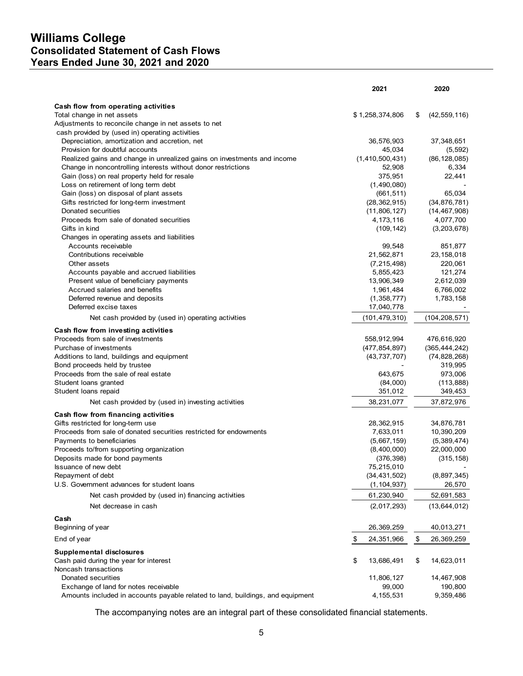# **Williams College Consolidated Statement of Cash Flows Years Ended June 30, 2021 and 2020**

|                                                                                                         | 2021             | 2020                 |
|---------------------------------------------------------------------------------------------------------|------------------|----------------------|
|                                                                                                         |                  |                      |
| Cash flow from operating activities                                                                     |                  |                      |
| Total change in net assets                                                                              | \$1,258,374,806  | \$<br>(42, 559, 116) |
| Adjustments to reconcile change in net assets to net<br>cash provided by (used in) operating activities |                  |                      |
| Depreciation, amortization and accretion, net                                                           | 36,576,903       | 37,348,651           |
| Provision for doubtful accounts                                                                         | 45,034           | (5, 592)             |
| Realized gains and change in unrealized gains on investments and income                                 | (1,410,500,431)  | (86, 128, 085)       |
| Change in noncontrolling interests without donor restrictions                                           | 52,908           | 6,334                |
| Gain (loss) on real property held for resale                                                            | 375,951          | 22,441               |
| Loss on retirement of long term debt                                                                    | (1,490,080)      |                      |
| Gain (loss) on disposal of plant assets                                                                 | (661, 511)       | 65,034               |
| Gifts restricted for long-term investment                                                               | (28, 362, 915)   | (34, 876, 781)       |
| Donated securities                                                                                      | (11, 806, 127)   | (14, 467, 908)       |
| Proceeds from sale of donated securities                                                                | 4, 173, 116      | 4,077,700            |
| Gifts in kind                                                                                           | (109, 142)       | (3,203,678)          |
| Changes in operating assets and liabilities                                                             |                  |                      |
| Accounts receivable                                                                                     | 99,548           | 851,877              |
| Contributions receivable                                                                                | 21,562,871       | 23,158,018           |
| Other assets                                                                                            | (7, 215, 498)    | 220,061              |
| Accounts payable and accrued liabilities                                                                | 5,855,423        | 121,274              |
| Present value of beneficiary payments                                                                   | 13,906,349       | 2,612,039            |
| Accrued salaries and benefits                                                                           | 1,961,484        | 6,766,002            |
| Deferred revenue and deposits                                                                           | (1,358,777)      | 1,783,158            |
| Deferred excise taxes                                                                                   | 17,040,778       |                      |
| Net cash provided by (used in) operating activities                                                     | (101, 479, 310)  | (104, 208, 571)      |
| Cash flow from investing activities                                                                     |                  |                      |
| Proceeds from sale of investments                                                                       | 558,912,994      | 476,616,920          |
| Purchase of investments                                                                                 | (477, 854, 897)  | (365, 444, 242)      |
| Additions to land, buildings and equipment                                                              | (43, 737, 707)   | (74, 828, 268)       |
| Bond proceeds held by trustee                                                                           |                  | 319,995              |
| Proceeds from the sale of real estate                                                                   | 643,675          | 973,006              |
| Student loans granted                                                                                   | (84,000)         | (113, 888)           |
| Student loans repaid                                                                                    | 351,012          | 349,453              |
| Net cash provided by (used in) investing activities                                                     | 38,231,077       | 37,872,976           |
| Cash flow from financing activities                                                                     |                  |                      |
| Gifts restricted for long-term use                                                                      | 28,362,915       | 34,876,781           |
| Proceeds from sale of donated securities restricted for endowments                                      | 7,633,011        | 10,390,209           |
| Payments to beneficiaries                                                                               | (5,667,159)      | (5,389,474)          |
| Proceeds to/from supporting organization                                                                | (8,400,000)      | 22,000,000           |
| Deposits made for bond payments                                                                         | (376, 398)       | (315, 158)           |
| lssuance of new debt                                                                                    | 75,215,010       |                      |
| Repayment of debt                                                                                       | (34, 431, 502)   | (8,897,345)          |
| U.S. Government advances for student loans                                                              | (1, 104, 937)    | 26,570               |
| Net cash provided by (used in) financing activities                                                     | 61,230,940       | 52,691,583           |
| Net decrease in cash                                                                                    | (2,017,293)      | (13, 644, 012)       |
| Cash                                                                                                    |                  |                      |
| Beginning of year                                                                                       | 26,369,259       | 40,013,271           |
| End of year                                                                                             | \$<br>24,351,966 | \$<br>26,369,259     |
| <b>Supplemental disclosures</b>                                                                         |                  |                      |
| Cash paid during the year for interest                                                                  | \$<br>13,686,491 | \$<br>14,623,011     |
| Noncash transactions                                                                                    |                  |                      |
| Donated securities                                                                                      | 11,806,127       | 14,467,908           |
| Exchange of land for notes receivable                                                                   | 99,000           | 190,800              |
| Amounts included in accounts payable related to land, buildings, and equipment                          | 4, 155, 531      | 9,359,486            |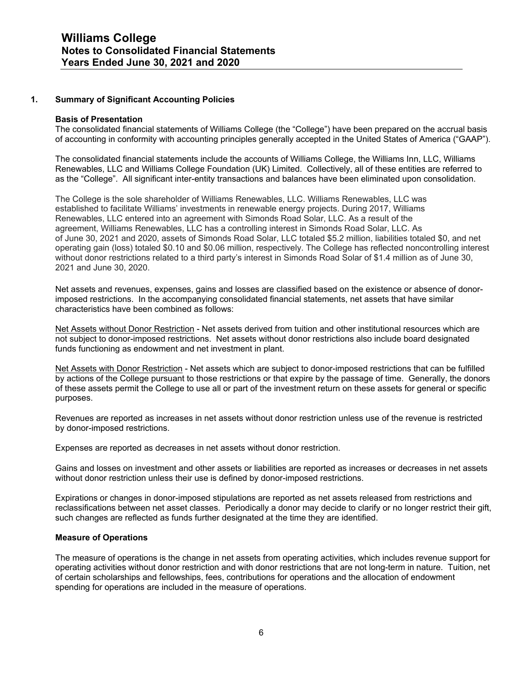## **1. Summary of Significant Accounting Policies**

#### **Basis of Presentation**

The consolidated financial statements of Williams College (the "College") have been prepared on the accrual basis of accounting in conformity with accounting principles generally accepted in the United States of America ("GAAP").

The consolidated financial statements include the accounts of Williams College, the Williams Inn, LLC, Williams Renewables, LLC and Williams College Foundation (UK) Limited. Collectively, all of these entities are referred to as the "College". All significant inter-entity transactions and balances have been eliminated upon consolidation.

The College is the sole shareholder of Williams Renewables, LLC. Williams Renewables, LLC was established to facilitate Williams' investments in renewable energy projects. During 2017, Williams Renewables, LLC entered into an agreement with Simonds Road Solar, LLC. As a result of the agreement, Williams Renewables, LLC has a controlling interest in Simonds Road Solar, LLC. As of June 30, 2021 and 2020, assets of Simonds Road Solar, LLC totaled \$5.2 million, liabilities totaled \$0, and net operating gain (loss) totaled \$0.10 and \$0.06 million, respectively. The College has reflected noncontrolling interest without donor restrictions related to a third party's interest in Simonds Road Solar of \$1.4 million as of June 30, 2021 and June 30, 2020.

Net assets and revenues, expenses, gains and losses are classified based on the existence or absence of donorimposed restrictions. In the accompanying consolidated financial statements, net assets that have similar characteristics have been combined as follows:

Net Assets without Donor Restriction - Net assets derived from tuition and other institutional resources which are not subject to donor-imposed restrictions. Net assets without donor restrictions also include board designated funds functioning as endowment and net investment in plant.

Net Assets with Donor Restriction - Net assets which are subject to donor-imposed restrictions that can be fulfilled by actions of the College pursuant to those restrictions or that expire by the passage of time. Generally, the donors of these assets permit the College to use all or part of the investment return on these assets for general or specific purposes.

Revenues are reported as increases in net assets without donor restriction unless use of the revenue is restricted by donor-imposed restrictions.

Expenses are reported as decreases in net assets without donor restriction.

Gains and losses on investment and other assets or liabilities are reported as increases or decreases in net assets without donor restriction unless their use is defined by donor-imposed restrictions.

Expirations or changes in donor-imposed stipulations are reported as net assets released from restrictions and reclassifications between net asset classes. Periodically a donor may decide to clarify or no longer restrict their gift, such changes are reflected as funds further designated at the time they are identified.

#### **Measure of Operations**

The measure of operations is the change in net assets from operating activities, which includes revenue support for operating activities without donor restriction and with donor restrictions that are not long-term in nature. Tuition, net of certain scholarships and fellowships, fees, contributions for operations and the allocation of endowment spending for operations are included in the measure of operations.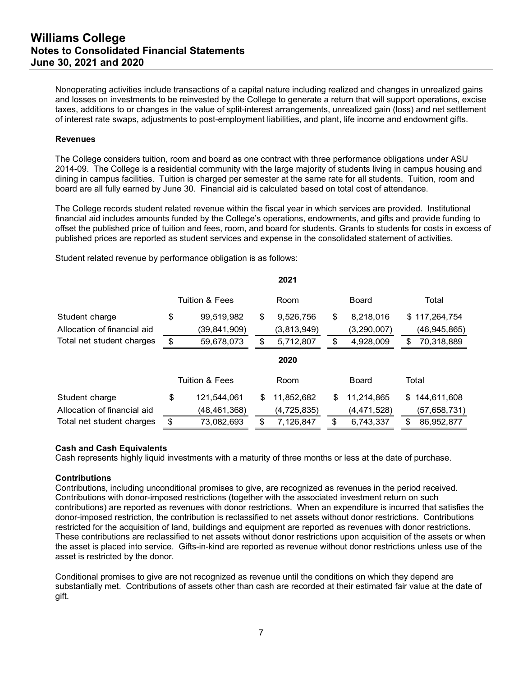Nonoperating activities include transactions of a capital nature including realized and changes in unrealized gains and losses on investments to be reinvested by the College to generate a return that will support operations, excise taxes, additions to or changes in the value of split-interest arrangements, unrealized gain (loss) and net settlement of interest rate swaps, adjustments to post-employment liabilities, and plant, life income and endowment gifts.

#### **Revenues**

The College considers tuition, room and board as one contract with three performance obligations under ASU 2014-09. The College is a residential community with the large majority of students living in campus housing and dining in campus facilities. Tuition is charged per semester at the same rate for all students. Tuition, room and board are all fully earned by June 30. Financial aid is calculated based on total cost of attendance.

The College records student related revenue within the fiscal year in which services are provided. Institutional financial aid includes amounts funded by the College's operations, endowments, and gifts and provide funding to offset the published price of tuition and fees, room, and board for students. Grants to students for costs in excess of published prices are reported as student services and expense in the consolidated statement of activities.

|                             |                   | 2021             |                  |                  |
|-----------------------------|-------------------|------------------|------------------|------------------|
|                             | Tuition & Fees    | Room             | Board            | Total            |
| Student charge              | \$<br>99,519,982  | \$<br>9,526,756  | \$<br>8,218,016  | \$117,264,754    |
| Allocation of financial aid | (39,841,909)      | (3,813,949)      | (3, 290, 007)    | (46, 945, 865)   |
| Total net student charges   | \$<br>59,678,073  | \$<br>5,712,807  | \$<br>4,928,009  | \$<br>70,318,889 |
|                             |                   | 2020             |                  |                  |
|                             | Tuition & Fees    | Room             | Board            | Total            |
| Student charge              | \$<br>121,544,061 | \$<br>11,852,682 | \$<br>11,214,865 | \$144,611,608    |
| Allocation of financial aid | (48,461,368)      | (4, 725, 835)    | (4, 471, 528)    | (57, 658, 731)   |
| Total net student charges   | \$<br>73,082,693  | \$<br>7,126,847  | \$<br>6,743,337  | \$<br>86,952,877 |

Student related revenue by performance obligation is as follows:

# **Cash and Cash Equivalents**

Cash represents highly liquid investments with a maturity of three months or less at the date of purchase.

#### **Contributions**

Contributions, including unconditional promises to give, are recognized as revenues in the period received. Contributions with donor-imposed restrictions (together with the associated investment return on such contributions) are reported as revenues with donor restrictions. When an expenditure is incurred that satisfies the donor-imposed restriction, the contribution is reclassified to net assets without donor restrictions. Contributions restricted for the acquisition of land, buildings and equipment are reported as revenues with donor restrictions. These contributions are reclassified to net assets without donor restrictions upon acquisition of the assets or when the asset is placed into service. Gifts-in-kind are reported as revenue without donor restrictions unless use of the asset is restricted by the donor.

Conditional promises to give are not recognized as revenue until the conditions on which they depend are substantially met. Contributions of assets other than cash are recorded at their estimated fair value at the date of gift.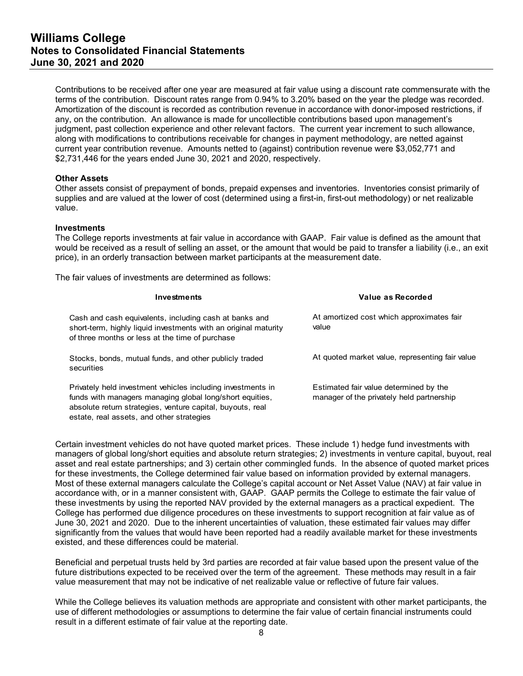Contributions to be received after one year are measured at fair value using a discount rate commensurate with the terms of the contribution. Discount rates range from 0.94% to 3.20% based on the year the pledge was recorded. Amortization of the discount is recorded as contribution revenue in accordance with donor-imposed restrictions, if any, on the contribution. An allowance is made for uncollectible contributions based upon management's judgment, past collection experience and other relevant factors. The current year increment to such allowance, along with modifications to contributions receivable for changes in payment methodology, are netted against current year contribution revenue. Amounts netted to (against) contribution revenue were \$3,052,771 and \$2,731,446 for the years ended June 30, 2021 and 2020, respectively.

## **Other Assets**

Other assets consist of prepayment of bonds, prepaid expenses and inventories. Inventories consist primarily of supplies and are valued at the lower of cost (determined using a first-in, first-out methodology) or net realizable value.

#### **Investments**

The College reports investments at fair value in accordance with GAAP. Fair value is defined as the amount that would be received as a result of selling an asset, or the amount that would be paid to transfer a liability (i.e., an exit price), in an orderly transaction between market participants at the measurement date.

The fair values of investments are determined as follows:

| Investments                                                                                                                                                                                                                        | Value as Recorded                                                                   |
|------------------------------------------------------------------------------------------------------------------------------------------------------------------------------------------------------------------------------------|-------------------------------------------------------------------------------------|
| Cash and cash equivalents, including cash at banks and<br>short-term, highly liquid investments with an original maturity<br>of three months or less at the time of purchase                                                       | At amortized cost which approximates fair<br>value                                  |
| Stocks, bonds, mutual funds, and other publicly traded<br>securities                                                                                                                                                               | At quoted market value, representing fair value                                     |
| Privately held investment vehicles including investments in<br>funds with managers managing global long/short equities,<br>absolute return strategies, venture capital, buyouts, real<br>estate, real assets, and other strategies | Estimated fair value determined by the<br>manager of the privately held partnership |

Certain investment vehicles do not have quoted market prices. These include 1) hedge fund investments with managers of global long/short equities and absolute return strategies; 2) investments in venture capital, buyout, real asset and real estate partnerships; and 3) certain other commingled funds. In the absence of quoted market prices for these investments, the College determined fair value based on information provided by external managers. Most of these external managers calculate the College's capital account or Net Asset Value (NAV) at fair value in accordance with, or in a manner consistent with, GAAP. GAAP permits the College to estimate the fair value of these investments by using the reported NAV provided by the external managers as a practical expedient. The College has performed due diligence procedures on these investments to support recognition at fair value as of June 30, 2021 and 2020. Due to the inherent uncertainties of valuation, these estimated fair values may differ significantly from the values that would have been reported had a readily available market for these investments existed, and these differences could be material.

Beneficial and perpetual trusts held by 3rd parties are recorded at fair value based upon the present value of the future distributions expected to be received over the term of the agreement. These methods may result in a fair value measurement that may not be indicative of net realizable value or reflective of future fair values.

While the College believes its valuation methods are appropriate and consistent with other market participants, the use of different methodologies or assumptions to determine the fair value of certain financial instruments could result in a different estimate of fair value at the reporting date.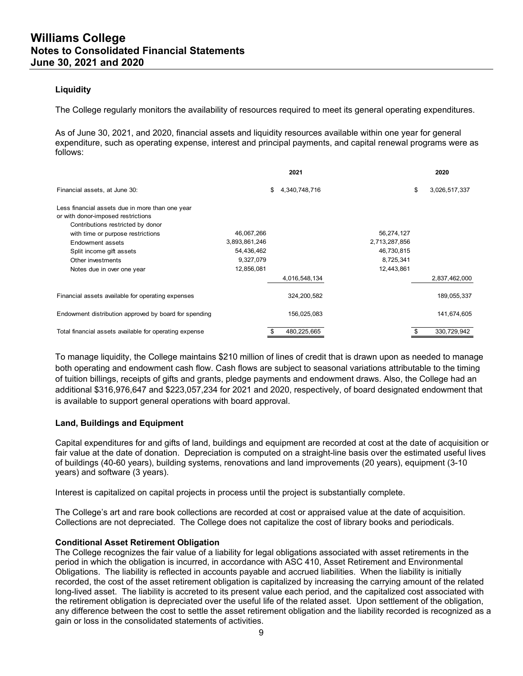# **Liquidity**

The College regularly monitors the availability of resources required to meet its general operating expenditures.

As of June 30, 2021, and 2020, financial assets and liquidity resources available within one year for general expenditure, such as operating expense, interest and principal payments, and capital renewal programs were as follows:

|                                                        |               | 2021          |               | 2020                |
|--------------------------------------------------------|---------------|---------------|---------------|---------------------|
| Financial assets, at June 30:                          | \$            | 4,340,748,716 |               | \$<br>3,026,517,337 |
| Less financial assets due in more than one year        |               |               |               |                     |
| or with donor-imposed restrictions                     |               |               |               |                     |
| Contributions restricted by donor                      |               |               |               |                     |
| with time or purpose restrictions                      | 46,067,266    |               | 56,274,127    |                     |
| Endowment assets                                       | 3,893,861,246 |               | 2,713,287,856 |                     |
| Split income gift assets                               | 54,436,462    |               | 46,730,815    |                     |
| Other investments                                      | 9,327,079     |               | 8,725,341     |                     |
| Notes due in over one year                             | 12,856,081    |               | 12,443,861    |                     |
|                                                        |               | 4,016,548,134 |               | 2,837,462,000       |
| Financial assets available for operating expenses      |               | 324,200,582   |               | 189,055,337         |
| Endowment distribution approved by board for spending  |               | 156,025,083   |               | 141,674,605         |
| Total financial assets available for operating expense |               | 480,225,665   |               | 330,729,942         |

To manage liquidity, the College maintains \$210 million of lines of credit that is drawn upon as needed to manage both operating and endowment cash flow. Cash flows are subject to seasonal variations attributable to the timing of tuition billings, receipts of gifts and grants, pledge payments and endowment draws. Also, the College had an additional \$316,976,647 and \$223,057,234 for 2021 and 2020, respectively, of board designated endowment that is available to support general operations with board approval.

# **Land, Buildings and Equipment**

Capital expenditures for and gifts of land, buildings and equipment are recorded at cost at the date of acquisition or fair value at the date of donation. Depreciation is computed on a straight-line basis over the estimated useful lives of buildings (40-60 years), building systems, renovations and land improvements (20 years), equipment (3-10 years) and software (3 years).

Interest is capitalized on capital projects in process until the project is substantially complete.

The College's art and rare book collections are recorded at cost or appraised value at the date of acquisition. Collections are not depreciated. The College does not capitalize the cost of library books and periodicals.

#### **Conditional Asset Retirement Obligation**

The College recognizes the fair value of a liability for legal obligations associated with asset retirements in the period in which the obligation is incurred, in accordance with ASC 410, Asset Retirement and Environmental Obligations. The liability is reflected in accounts payable and accrued liabilities. When the liability is initially recorded, the cost of the asset retirement obligation is capitalized by increasing the carrying amount of the related long-lived asset. The liability is accreted to its present value each period, and the capitalized cost associated with the retirement obligation is depreciated over the useful life of the related asset. Upon settlement of the obligation, any difference between the cost to settle the asset retirement obligation and the liability recorded is recognized as a gain or loss in the consolidated statements of activities.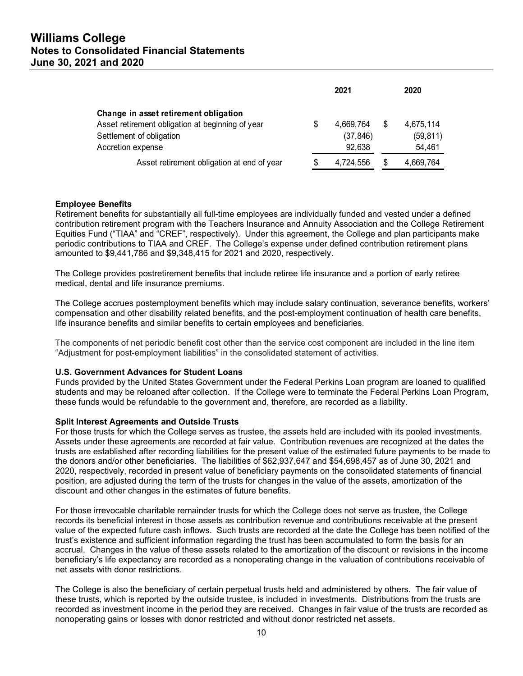|                                                  |   | 2021      |    | 2020      |
|--------------------------------------------------|---|-----------|----|-----------|
| Change in asset retirement obligation            |   |           |    |           |
| Asset retirement obligation at beginning of year | S | 4.669.764 | \$ | 4.675.114 |
| Settlement of obligation                         |   | (37, 846) |    | (59, 811) |
| Accretion expense                                |   | 92,638    |    | 54,461    |
| Asset retirement obligation at end of year       |   | 4,724,556 | S  | 4,669,764 |

## **Employee Benefits**

Retirement benefits for substantially all full-time employees are individually funded and vested under a defined contribution retirement program with the Teachers Insurance and Annuity Association and the College Retirement Equities Fund ("TIAA" and "CREF", respectively). Under this agreement, the College and plan participants make periodic contributions to TIAA and CREF. The College's expense under defined contribution retirement plans amounted to \$9,441,786 and \$9,348,415 for 2021 and 2020, respectively.

The College provides postretirement benefits that include retiree life insurance and a portion of early retiree medical, dental and life insurance premiums.

The College accrues postemployment benefits which may include salary continuation, severance benefits, workers' compensation and other disability related benefits, and the post-employment continuation of health care benefits, life insurance benefits and similar benefits to certain employees and beneficiaries.

The components of net periodic benefit cost other than the service cost component are included in the line item "Adjustment for post-employment liabilities" in the consolidated statement of activities.

#### **U.S. Government Advances for Student Loans**

Funds provided by the United States Government under the Federal Perkins Loan program are loaned to qualified students and may be reloaned after collection. If the College were to terminate the Federal Perkins Loan Program, these funds would be refundable to the government and, therefore, are recorded as a liability.

## **Split Interest Agreements and Outside Trusts**

For those trusts for which the College serves as trustee, the assets held are included with its pooled investments. Assets under these agreements are recorded at fair value. Contribution revenues are recognized at the dates the trusts are established after recording liabilities for the present value of the estimated future payments to be made to the donors and/or other beneficiaries. The liabilities of \$62,937,647 and \$54,698,457 as of June 30, 2021 and 2020, respectively, recorded in present value of beneficiary payments on the consolidated statements of financial position, are adjusted during the term of the trusts for changes in the value of the assets, amortization of the discount and other changes in the estimates of future benefits.

For those irrevocable charitable remainder trusts for which the College does not serve as trustee, the College records its beneficial interest in those assets as contribution revenue and contributions receivable at the present value of the expected future cash inflows. Such trusts are recorded at the date the College has been notified of the trust's existence and sufficient information regarding the trust has been accumulated to form the basis for an accrual. Changes in the value of these assets related to the amortization of the discount or revisions in the income beneficiary's life expectancy are recorded as a nonoperating change in the valuation of contributions receivable of net assets with donor restrictions.

The College is also the beneficiary of certain perpetual trusts held and administered by others. The fair value of these trusts, which is reported by the outside trustee, is included in investments. Distributions from the trusts are recorded as investment income in the period they are received. Changes in fair value of the trusts are recorded as nonoperating gains or losses with donor restricted and without donor restricted net assets.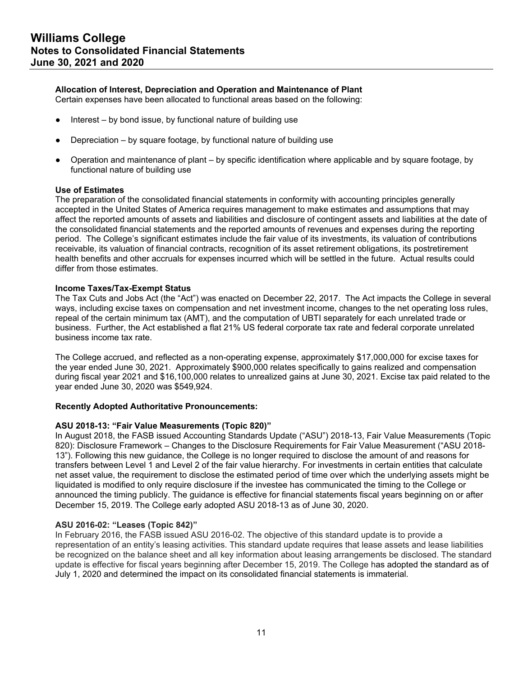# **Allocation of Interest, Depreciation and Operation and Maintenance of Plant**

Certain expenses have been allocated to functional areas based on the following:

- $Interest by bond issue, by functional nature of building use$
- Depreciation by square footage, by functional nature of building use
- Operation and maintenance of plant by specific identification where applicable and by square footage, by functional nature of building use

## **Use of Estimates**

The preparation of the consolidated financial statements in conformity with accounting principles generally accepted in the United States of America requires management to make estimates and assumptions that may affect the reported amounts of assets and liabilities and disclosure of contingent assets and liabilities at the date of the consolidated financial statements and the reported amounts of revenues and expenses during the reporting period. The College's significant estimates include the fair value of its investments, its valuation of contributions receivable, its valuation of financial contracts, recognition of its asset retirement obligations, its postretirement health benefits and other accruals for expenses incurred which will be settled in the future. Actual results could differ from those estimates.

## **Income Taxes/Tax-Exempt Status**

The Tax Cuts and Jobs Act (the "Act") was enacted on December 22, 2017. The Act impacts the College in several ways, including excise taxes on compensation and net investment income, changes to the net operating loss rules, repeal of the certain minimum tax (AMT), and the computation of UBTI separately for each unrelated trade or business. Further, the Act established a flat 21% US federal corporate tax rate and federal corporate unrelated business income tax rate.

The College accrued, and reflected as a non-operating expense, approximately \$17,000,000 for excise taxes for the year ended June 30, 2021. Approximately \$900,000 relates specifically to gains realized and compensation during fiscal year 2021 and \$16,100,000 relates to unrealized gains at June 30, 2021. Excise tax paid related to the year ended June 30, 2020 was \$549,924.

# **Recently Adopted Authoritative Pronouncements:**

# **ASU 2018-13: "Fair Value Measurements (Topic 820)"**

In August 2018, the FASB issued Accounting Standards Update ("ASU") 2018-13, Fair Value Measurements (Topic 820): Disclosure Framework – Changes to the Disclosure Requirements for Fair Value Measurement ("ASU 2018- 13"). Following this new guidance, the College is no longer required to disclose the amount of and reasons for transfers between Level 1 and Level 2 of the fair value hierarchy. For investments in certain entities that calculate net asset value, the requirement to disclose the estimated period of time over which the underlying assets might be liquidated is modified to only require disclosure if the investee has communicated the timing to the College or announced the timing publicly. The guidance is effective for financial statements fiscal years beginning on or after December 15, 2019. The College early adopted ASU 2018-13 as of June 30, 2020.

# **ASU 2016-02: "Leases (Topic 842)"**

In February 2016, the FASB issued ASU 2016-02. The objective of this standard update is to provide a representation of an entity's leasing activities. This standard update requires that lease assets and lease liabilities be recognized on the balance sheet and all key information about leasing arrangements be disclosed. The standard update is effective for fiscal years beginning after December 15, 2019. The College has adopted the standard as of July 1, 2020 and determined the impact on its consolidated financial statements is immaterial.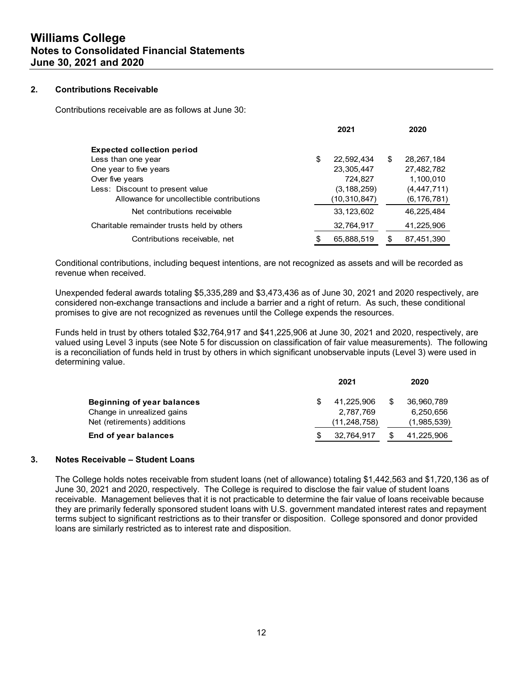#### **2. Contributions Receivable**

Contributions receivable are as follows at June 30:

|                                            | 2021 |               |    | 2020          |  |  |
|--------------------------------------------|------|---------------|----|---------------|--|--|
| <b>Expected collection period</b>          |      |               |    |               |  |  |
| Less than one year                         | \$   | 22,592,434    | \$ | 28, 267, 184  |  |  |
| One year to five years                     |      | 23,305,447    |    | 27,482,782    |  |  |
| Over five years                            |      | 724,827       |    | 1,100,010     |  |  |
| Less: Discount to present value            |      | (3, 188, 259) |    | (4, 447, 711) |  |  |
| Allowance for uncollectible contributions  |      | (10,310,847)  |    | (6, 176, 781) |  |  |
| Net contributions receivable               |      | 33, 123, 602  |    | 46,225,484    |  |  |
| Charitable remainder trusts held by others |      | 32,764,917    |    | 41,225,906    |  |  |
| Contributions receivable, net              | S    | 65,888,519    | \$ | 87.451.390    |  |  |

Conditional contributions, including bequest intentions, are not recognized as assets and will be recorded as revenue when received.

Unexpended federal awards totaling \$5,335,289 and \$3,473,436 as of June 30, 2021 and 2020 respectively, are considered non-exchange transactions and include a barrier and a right of return. As such, these conditional promises to give are not recognized as revenues until the College expends the resources.

Funds held in trust by others totaled \$32,764,917 and \$41,225,906 at June 30, 2021 and 2020, respectively, are valued using Level 3 inputs (see Note 5 for discussion on classification of fair value measurements). The following is a reconciliation of funds held in trust by others in which significant unobservable inputs (Level 3) were used in determining value.

|                             | 2021           | 2020             |
|-----------------------------|----------------|------------------|
| Beginning of year balances  | 41.225.906     | \$<br>36,960,789 |
| Change in unrealized gains  | 2.787.769      | 6,250,656        |
| Net (retirements) additions | (11, 248, 758) | (1,985,539)      |
| End of year balances        | 32,764,917     | 41,225,906       |

## **3. Notes Receivable – Student Loans**

The College holds notes receivable from student loans (net of allowance) totaling \$1,442,563 and \$1,720,136 as of June 30, 2021 and 2020, respectively. The College is required to disclose the fair value of student loans receivable. Management believes that it is not practicable to determine the fair value of loans receivable because they are primarily federally sponsored student loans with U.S. government mandated interest rates and repayment terms subject to significant restrictions as to their transfer or disposition. College sponsored and donor provided loans are similarly restricted as to interest rate and disposition.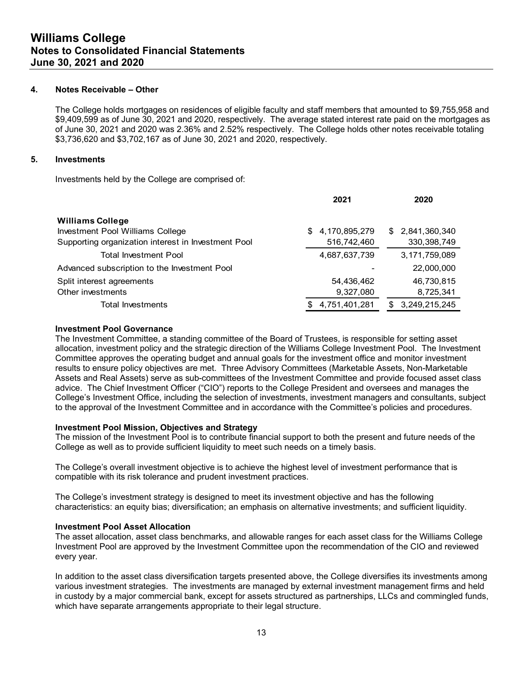#### **4. Notes Receivable – Other**

The College holds mortgages on residences of eligible faculty and staff members that amounted to \$9,755,958 and \$9,409,599 as of June 30, 2021 and 2020, respectively. The average stated interest rate paid on the mortgages as of June 30, 2021 and 2020 was 2.36% and 2.52% respectively. The College holds other notes receivable totaling \$3,736,620 and \$3,702,167 as of June 30, 2021 and 2020, respectively.

#### **5. Investments**

Investments held by the College are comprised of:

|                                                     | 2021                 | 2020                 |
|-----------------------------------------------------|----------------------|----------------------|
| <b>Williams College</b>                             |                      |                      |
| Investment Pool Williams College                    | 4,170,895,279<br>\$. | \$ 2,841,360,340     |
| Supporting organization interest in Investment Pool | 516,742,460          | 330, 398, 749        |
| <b>Total Investment Pool</b>                        | 4,687,637,739        | 3, 171, 759, 089     |
| Advanced subscription to the Investment Pool        |                      | 22,000,000           |
| Split interest agreements                           | 54,436,462           | 46,730,815           |
| Other investments                                   | 9,327,080            | 8,725,341            |
| Total Investments                                   | 4,751,401,281        | 3,249,215,245<br>SS. |

#### **Investment Pool Governance**

The Investment Committee, a standing committee of the Board of Trustees, is responsible for setting asset allocation, investment policy and the strategic direction of the Williams College Investment Pool. The Investment Committee approves the operating budget and annual goals for the investment office and monitor investment results to ensure policy objectives are met. Three Advisory Committees (Marketable Assets, Non-Marketable Assets and Real Assets) serve as sub-committees of the Investment Committee and provide focused asset class advice. The Chief Investment Officer ("CIO") reports to the College President and oversees and manages the College's Investment Office, including the selection of investments, investment managers and consultants, subject to the approval of the Investment Committee and in accordance with the Committee's policies and procedures.

#### **Investment Pool Mission, Objectives and Strategy**

The mission of the Investment Pool is to contribute financial support to both the present and future needs of the College as well as to provide sufficient liquidity to meet such needs on a timely basis.

The College's overall investment objective is to achieve the highest level of investment performance that is compatible with its risk tolerance and prudent investment practices.

The College's investment strategy is designed to meet its investment objective and has the following characteristics: an equity bias; diversification; an emphasis on alternative investments; and sufficient liquidity.

#### **Investment Pool Asset Allocation**

The asset allocation, asset class benchmarks, and allowable ranges for each asset class for the Williams College Investment Pool are approved by the Investment Committee upon the recommendation of the CIO and reviewed every year.

In addition to the asset class diversification targets presented above, the College diversifies its investments among various investment strategies. The investments are managed by external investment management firms and held in custody by a major commercial bank, except for assets structured as partnerships, LLCs and commingled funds, which have separate arrangements appropriate to their legal structure.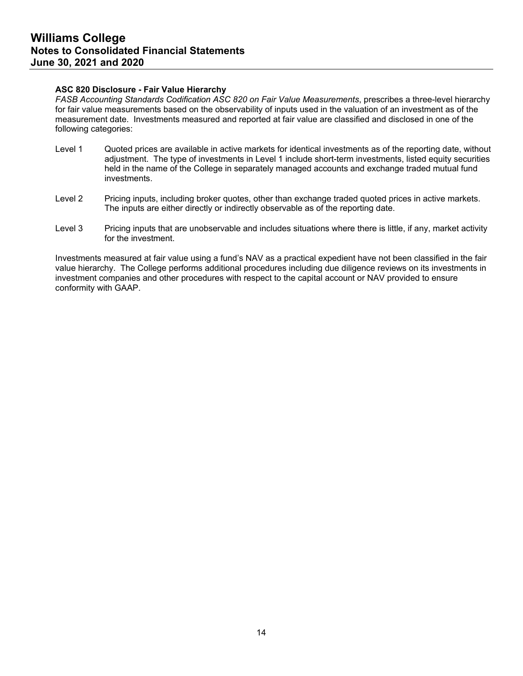#### **ASC 820 Disclosure - Fair Value Hierarchy**

*FASB Accounting Standards Codification ASC 820 on Fair Value Measurements*, prescribes a three-level hierarchy for fair value measurements based on the observability of inputs used in the valuation of an investment as of the measurement date. Investments measured and reported at fair value are classified and disclosed in one of the following categories:

- Level 1 Quoted prices are available in active markets for identical investments as of the reporting date, without adjustment. The type of investments in Level 1 include short-term investments, listed equity securities held in the name of the College in separately managed accounts and exchange traded mutual fund investments.
- Level 2 Pricing inputs, including broker quotes, other than exchange traded quoted prices in active markets. The inputs are either directly or indirectly observable as of the reporting date.
- Level 3 Pricing inputs that are unobservable and includes situations where there is little, if any, market activity for the investment.

Investments measured at fair value using a fund's NAV as a practical expedient have not been classified in the fair value hierarchy. The College performs additional procedures including due diligence reviews on its investments in investment companies and other procedures with respect to the capital account or NAV provided to ensure conformity with GAAP.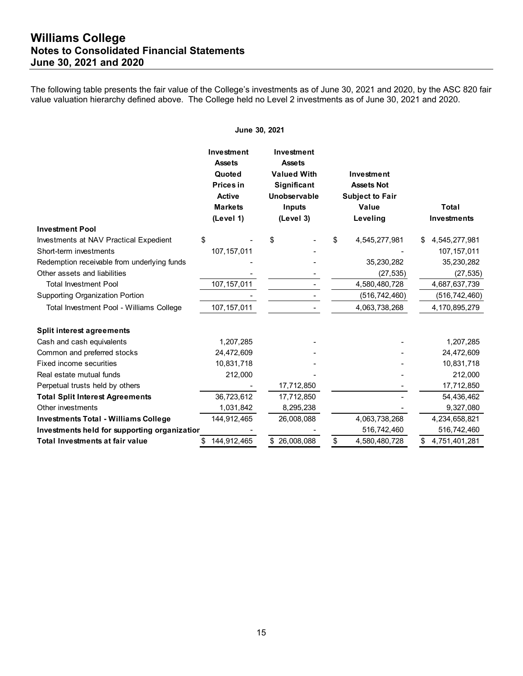The following table presents the fair value of the College's investments as of June 30, 2021 and 2020, by the ASC 820 fair value valuation hierarchy defined above. The College held no Level 2 investments as of June 30, 2021 and 2020.

|                                                                             | Investment<br>Investment<br><b>Assets</b><br><b>Assets</b><br><b>Valued With</b><br>Quoted<br>Significant<br><b>Prices in</b><br><b>Active</b><br>Unobservable<br><b>Markets</b><br><b>Inputs</b><br>(Level 1)<br>(Level 3) |                  | Investment<br><b>Assets Not</b><br><b>Subject to Fair</b><br>Value<br>Leveling | <b>Total</b><br><b>Investments</b> |  |
|-----------------------------------------------------------------------------|-----------------------------------------------------------------------------------------------------------------------------------------------------------------------------------------------------------------------------|------------------|--------------------------------------------------------------------------------|------------------------------------|--|
| <b>Investment Pool</b>                                                      |                                                                                                                                                                                                                             | \$               | \$<br>4,545,277,981                                                            | 4,545,277,981<br>\$                |  |
| Investments at NAV Practical Expedient<br>Short-term investments            | \$                                                                                                                                                                                                                          |                  |                                                                                |                                    |  |
|                                                                             | 107, 157, 011                                                                                                                                                                                                               |                  |                                                                                | 107, 157, 011                      |  |
| Redemption receivable from underlying funds<br>Other assets and liabilities |                                                                                                                                                                                                                             |                  | 35,230,282                                                                     | 35,230,282                         |  |
| <b>Total Investment Pool</b>                                                |                                                                                                                                                                                                                             |                  | (27, 535)                                                                      | (27, 535)                          |  |
|                                                                             | 107, 157, 011                                                                                                                                                                                                               |                  | 4,580,480,728                                                                  | 4,687,637,739                      |  |
| <b>Supporting Organization Portion</b>                                      |                                                                                                                                                                                                                             |                  | (516, 742, 460)                                                                | (516, 742, 460)                    |  |
| Total Investment Pool - Williams College                                    | 107, 157, 011                                                                                                                                                                                                               |                  | 4,063,738,268                                                                  | 4,170,895,279                      |  |
| <b>Split interest agreements</b>                                            |                                                                                                                                                                                                                             |                  |                                                                                |                                    |  |
| Cash and cash equivalents                                                   | 1,207,285                                                                                                                                                                                                                   |                  |                                                                                | 1,207,285                          |  |
| Common and preferred stocks                                                 | 24,472,609                                                                                                                                                                                                                  |                  |                                                                                | 24,472,609                         |  |
| Fixed income securities                                                     | 10,831,718                                                                                                                                                                                                                  |                  |                                                                                | 10,831,718                         |  |
| Real estate mutual funds                                                    | 212,000                                                                                                                                                                                                                     |                  |                                                                                | 212,000                            |  |
| Perpetual trusts held by others                                             |                                                                                                                                                                                                                             | 17,712,850       |                                                                                | 17,712,850                         |  |
| <b>Total Split Interest Agreements</b>                                      | 36,723,612                                                                                                                                                                                                                  | 17,712,850       |                                                                                | 54,436,462                         |  |
| Other investments                                                           | 1,031,842                                                                                                                                                                                                                   | 8,295,238        |                                                                                | 9,327,080                          |  |
| <b>Investments Total - Williams College</b>                                 | 144,912,465                                                                                                                                                                                                                 | 26,008,088       | 4,063,738,268                                                                  | 4,234,658,821                      |  |
| Investments held for supporting organization                                |                                                                                                                                                                                                                             |                  | 516,742,460                                                                    | 516,742,460                        |  |
| Total Investments at fair value                                             | 144,912,465<br>\$                                                                                                                                                                                                           | 26,008,088<br>\$ | \$<br>4,580,480,728                                                            | 4,751,401,281<br>\$                |  |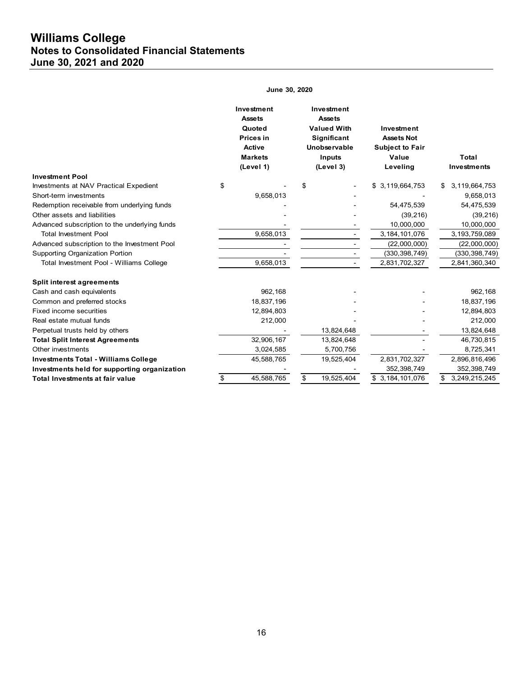|                                                                  | Investment<br><b>Assets</b><br>Quoted<br><b>Prices in</b><br><b>Active</b><br><b>Markets</b><br>(Level 1) | Investment<br><b>Assets</b><br><b>Valued With</b><br><b>Significant</b><br>Unobservable<br><b>Inputs</b><br>(Level 3) | Investment<br><b>Assets Not</b><br><b>Subject to Fair</b><br>Value<br>Leveling | Total<br>Investments       |
|------------------------------------------------------------------|-----------------------------------------------------------------------------------------------------------|-----------------------------------------------------------------------------------------------------------------------|--------------------------------------------------------------------------------|----------------------------|
| <b>Investment Pool</b>                                           |                                                                                                           |                                                                                                                       |                                                                                | \$                         |
| Investments at NAV Practical Expedient<br>Short-term investments | \$<br>9,658,013                                                                                           | \$                                                                                                                    | \$3,119,664,753                                                                | 3,119,664,753<br>9,658,013 |
| Redemption receivable from underlying funds                      |                                                                                                           |                                                                                                                       | 54,475,539                                                                     | 54,475,539                 |
| Other assets and liabilities                                     |                                                                                                           |                                                                                                                       | (39, 216)                                                                      | (39, 216)                  |
| Advanced subscription to the underlying funds                    |                                                                                                           |                                                                                                                       | 10,000,000                                                                     | 10,000,000                 |
| <b>Total Investment Pool</b>                                     | 9,658,013                                                                                                 | $\overline{\phantom{a}}$                                                                                              | 3, 184, 101, 076                                                               | 3, 193, 759, 089           |
| Advanced subscription to the Investment Pool                     |                                                                                                           |                                                                                                                       | (22,000,000)                                                                   | (22,000,000)               |
| <b>Supporting Organization Portion</b>                           |                                                                                                           |                                                                                                                       | (330, 398, 749)                                                                | (330, 398, 749)            |
| Total Investment Pool - Williams College                         | 9,658,013                                                                                                 |                                                                                                                       | 2,831,702,327                                                                  | 2,841,360,340              |
| Split interest agreements                                        |                                                                                                           |                                                                                                                       |                                                                                |                            |
| Cash and cash equivalents                                        | 962,168                                                                                                   |                                                                                                                       |                                                                                | 962,168                    |
| Common and preferred stocks                                      | 18,837,196                                                                                                |                                                                                                                       |                                                                                | 18,837,196                 |
| Fixed income securities                                          | 12,894,803                                                                                                |                                                                                                                       |                                                                                | 12,894,803                 |
| Real estate mutual funds                                         | 212,000                                                                                                   |                                                                                                                       |                                                                                | 212,000                    |
| Perpetual trusts held by others                                  |                                                                                                           | 13,824,648                                                                                                            |                                                                                | 13,824,648                 |
| <b>Total Split Interest Agreements</b>                           | 32,906,167                                                                                                | 13,824,648                                                                                                            |                                                                                | 46,730,815                 |
| Other investments                                                | 3,024,585                                                                                                 | 5,700,756                                                                                                             |                                                                                | 8,725,341                  |
| <b>Investments Total - Williams College</b>                      | 45,588,765                                                                                                | 19,525,404                                                                                                            | 2,831,702,327                                                                  | 2,896,816,496              |
| Investments held for supporting organization                     |                                                                                                           |                                                                                                                       | 352,398,749                                                                    | 352,398,749                |
| Total Investments at fair value                                  | \$<br>45,588,765                                                                                          | \$<br>19,525,404                                                                                                      | \$3,184,101,076                                                                | 3,249,215,245<br>\$        |

**June 30, 2020**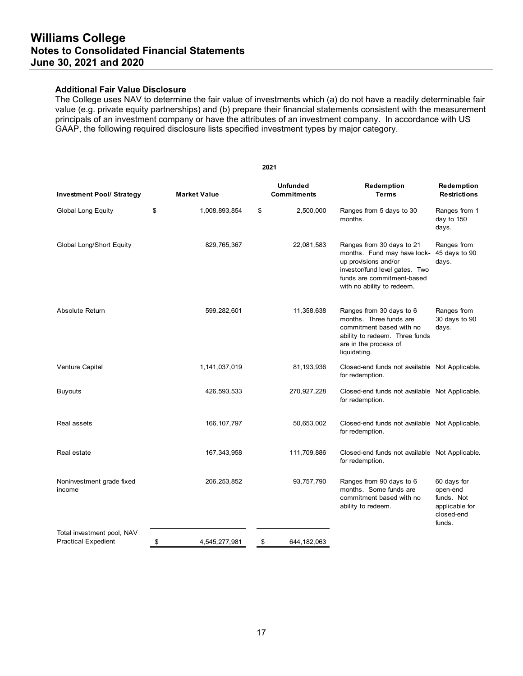#### **Additional Fair Value Disclosure**

The College uses NAV to determine the fair value of investments which (a) do not have a readily determinable fair value (e.g. private equity partnerships) and (b) prepare their financial statements consistent with the measurement principals of an investment company or have the attributes of an investment company. In accordance with US GAAP, the following required disclosure lists specified investment types by major category.

|                                                          |                     | 2021                                  |                                                                                                                                                                                |                                                                                 |
|----------------------------------------------------------|---------------------|---------------------------------------|--------------------------------------------------------------------------------------------------------------------------------------------------------------------------------|---------------------------------------------------------------------------------|
| <b>Investment Pool/ Strategy</b>                         | <b>Market Value</b> | <b>Unfunded</b><br><b>Commitments</b> | Redemption<br><b>Terms</b>                                                                                                                                                     | Redemption<br><b>Restrictions</b>                                               |
| <b>Global Long Equity</b>                                | \$<br>1,008,893,854 | \$<br>2,500,000                       | Ranges from 5 days to 30<br>months.                                                                                                                                            | Ranges from 1<br>day to 150<br>days.                                            |
| <b>Global Long/Short Equity</b>                          | 829,765,367         | 22,081,583                            | Ranges from 30 days to 21<br>months. Fund may have lock-<br>up provisions and/or<br>investor/fund level gates. Two<br>funds are commitment-based<br>with no ability to redeem. | Ranges from<br>45 days to 90<br>days.                                           |
| Absolute Return                                          | 599,282,601         | 11,358,638                            | Ranges from 30 days to 6<br>months. Three funds are<br>commitment based with no<br>ability to redeem. Three funds<br>are in the process of<br>liquidating.                     | Ranges from<br>30 days to 90<br>days.                                           |
| Venture Capital                                          | 1,141,037,019       | 81,193,936                            | Closed-end funds not available Not Applicable.<br>for redemption.                                                                                                              |                                                                                 |
| <b>Buyouts</b>                                           | 426,593,533         | 270,927,228                           | Closed-end funds not available Not Applicable.<br>for redemption.                                                                                                              |                                                                                 |
| Real assets                                              | 166, 107, 797       | 50,653,002                            | Closed-end funds not available Not Applicable.<br>for redemption.                                                                                                              |                                                                                 |
| Real estate                                              | 167, 343, 958       | 111,709,886                           | Closed-end funds not available Not Applicable.<br>for redemption.                                                                                                              |                                                                                 |
| Noninvestment grade fixed<br>income                      | 206,253,852         | 93,757,790                            | Ranges from 90 days to 6<br>months. Some funds are<br>commitment based with no<br>ability to redeem.                                                                           | 60 days for<br>open-end<br>funds. Not<br>applicable for<br>closed-end<br>funds. |
| Total investment pool, NAV<br><b>Practical Expedient</b> | \$<br>4,545,277,981 | \$<br>644, 182, 063                   |                                                                                                                                                                                |                                                                                 |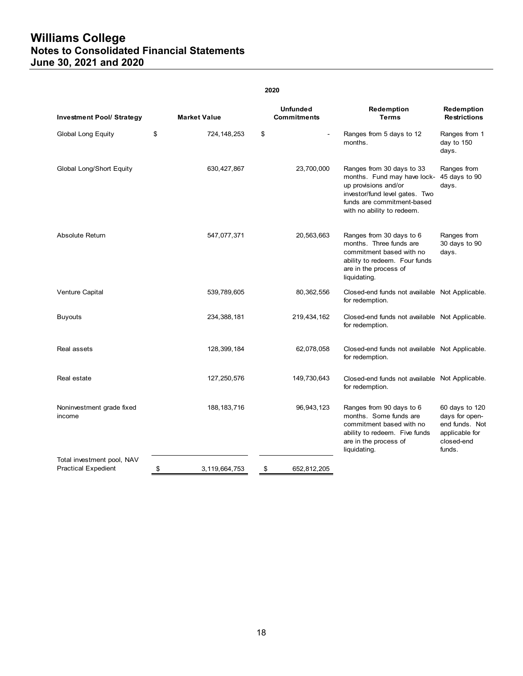|                                                          |                     | 2020 |                                       |                                                                                                                                                                                |                                                                                              |
|----------------------------------------------------------|---------------------|------|---------------------------------------|--------------------------------------------------------------------------------------------------------------------------------------------------------------------------------|----------------------------------------------------------------------------------------------|
| <b>Investment Pool/ Strategy</b>                         | <b>Market Value</b> |      | <b>Unfunded</b><br><b>Commitments</b> | Redemption<br><b>Terms</b>                                                                                                                                                     | Redemption<br><b>Restrictions</b>                                                            |
| Global Long Equity                                       | \$<br>724, 148, 253 | \$   |                                       | Ranges from 5 days to 12<br>months.                                                                                                                                            | Ranges from 1<br>day to 150<br>days.                                                         |
| Global Long/Short Equity                                 | 630,427,867         |      | 23,700,000                            | Ranges from 30 days to 33<br>months. Fund may have lock-<br>up provisions and/or<br>investor/fund level gates. Two<br>funds are commitment-based<br>with no ability to redeem. | Ranges from<br>45 days to 90<br>days.                                                        |
| <b>Absolute Return</b>                                   | 547,077,371         |      | 20,563,663                            | Ranges from 30 days to 6<br>months. Three funds are<br>commitment based with no<br>ability to redeem. Four funds<br>are in the process of<br>liquidating.                      | Ranges from<br>30 days to 90<br>days.                                                        |
| Venture Capital                                          | 539,789,605         |      | 80,362,556                            | Closed-end funds not available Not Applicable.<br>for redemption.                                                                                                              |                                                                                              |
| <b>Buyouts</b>                                           | 234,388,181         |      | 219,434,162                           | Closed-end funds not available Not Applicable.<br>for redemption.                                                                                                              |                                                                                              |
| Real assets                                              | 128,399,184         |      | 62,078,058                            | Closed-end funds not available Not Applicable.<br>for redemption.                                                                                                              |                                                                                              |
| Real estate                                              | 127,250,576         |      | 149,730,643                           | Closed-end funds not available Not Applicable.<br>for redemption.                                                                                                              |                                                                                              |
| Noninvestment grade fixed<br>income                      | 188, 183, 716       |      | 96, 943, 123                          | Ranges from 90 days to 6<br>months. Some funds are<br>commitment based with no<br>ability to redeem. Five funds<br>are in the process of<br>liquidating.                       | 60 days to 120<br>days for open-<br>end funds. Not<br>applicable for<br>closed-end<br>funds. |
| Total investment pool, NAV<br><b>Practical Expedient</b> | \$<br>3,119,664,753 | \$   | 652,812,205                           |                                                                                                                                                                                |                                                                                              |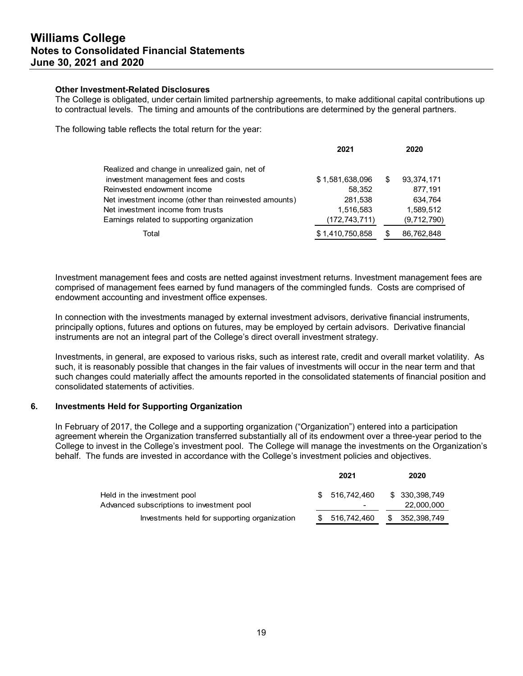#### **Other Investment-Related Disclosures**

The College is obligated, under certain limited partnership agreements, to make additional capital contributions up to contractual levels. The timing and amounts of the contributions are determined by the general partners.

The following table reflects the total return for the year:

|                                                       | 2021            | 2020             |
|-------------------------------------------------------|-----------------|------------------|
| Realized and change in unrealized gain, net of        |                 |                  |
| investment management fees and costs                  | \$1,581,638,096 | \$<br>93,374,171 |
| Reinvested endowment income                           | 58.352          | 877.191          |
| Net investment income (other than reinvested amounts) | 281,538         | 634,764          |
| Net investment income from trusts                     | 1,516,583       | 1,589,512        |
| Earnings related to supporting organization           | (172, 743, 711) | (9,712,790)      |
| Total                                                 | \$1,410,750,858 | \$<br>86,762,848 |

Investment management fees and costs are netted against investment returns. Investment management fees are comprised of management fees earned by fund managers of the commingled funds. Costs are comprised of endowment accounting and investment office expenses.

In connection with the investments managed by external investment advisors, derivative financial instruments, principally options, futures and options on futures, may be employed by certain advisors. Derivative financial instruments are not an integral part of the College's direct overall investment strategy.

Investments, in general, are exposed to various risks, such as interest rate, credit and overall market volatility. As such, it is reasonably possible that changes in the fair values of investments will occur in the near term and that such changes could materially affect the amounts reported in the consolidated statements of financial position and consolidated statements of activities.

#### **6. Investments Held for Supporting Organization**

In February of 2017, the College and a supporting organization ("Organization") entered into a participation agreement wherein the Organization transferred substantially all of its endowment over a three-year period to the College to invest in the College's investment pool. The College will manage the investments on the Organization's behalf. The funds are invested in accordance with the College's investment policies and objectives.

|                                              | 2021                     |   | 2020           |
|----------------------------------------------|--------------------------|---|----------------|
| Held in the investment pool                  | \$ 516,742,460           |   | \$ 330,398,749 |
| Advanced subscriptions to investment pool    | $\overline{\phantom{0}}$ |   | 22,000,000     |
| Investments held for supporting organization | 516,742,460              | S | 352,398,749    |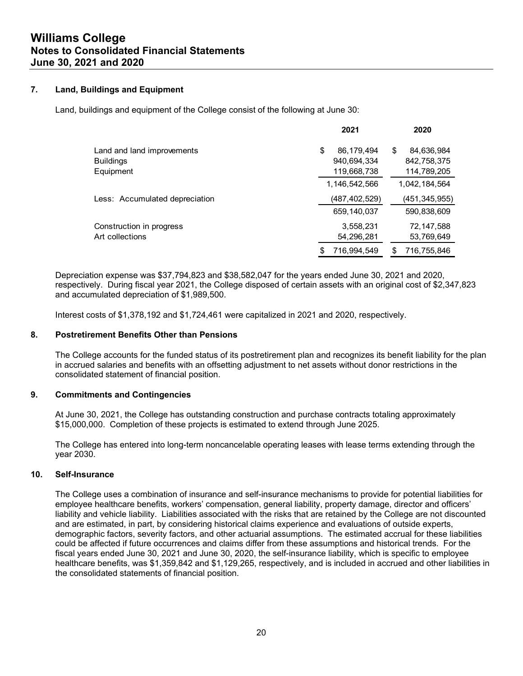#### **7. Land, Buildings and Equipment**

Land, buildings and equipment of the College consist of the following at June 30:

|                                | 2021               | 2020              |
|--------------------------------|--------------------|-------------------|
| Land and land improvements     | \$<br>86, 179, 494 | \$<br>84,636,984  |
| <b>Buildings</b>               | 940,694,334        | 842,758,375       |
| Equipment                      | 119,668,738        | 114,789,205       |
|                                | 1,146,542,566      | 1,042,184,564     |
| Less: Accumulated depreciation | (487,402,529)      | (451,345,955)     |
|                                | 659, 140, 037      | 590,838,609       |
| Construction in progress       | 3,558,231          | 72,147,588        |
| Art collections                | 54,296,281         | 53,769,649        |
|                                | 716.994.549<br>S   | 716.755.846<br>\$ |

Depreciation expense was \$37,794,823 and \$38,582,047 for the years ended June 30, 2021 and 2020, respectively. During fiscal year 2021, the College disposed of certain assets with an original cost of \$2,347,823 and accumulated depreciation of \$1,989,500.

Interest costs of \$1,378,192 and \$1,724,461 were capitalized in 2021 and 2020, respectively.

#### **8. Postretirement Benefits Other than Pensions**

The College accounts for the funded status of its postretirement plan and recognizes its benefit liability for the plan in accrued salaries and benefits with an offsetting adjustment to net assets without donor restrictions in the consolidated statement of financial position.

#### **9. Commitments and Contingencies**

At June 30, 2021, the College has outstanding construction and purchase contracts totaling approximately \$15,000,000. Completion of these projects is estimated to extend through June 2025.

The College has entered into long-term noncancelable operating leases with lease terms extending through the year 2030.

#### **10. Self-Insurance**

The College uses a combination of insurance and self-insurance mechanisms to provide for potential liabilities for employee healthcare benefits, workers' compensation, general liability, property damage, director and officers' liability and vehicle liability. Liabilities associated with the risks that are retained by the College are not discounted and are estimated, in part, by considering historical claims experience and evaluations of outside experts, demographic factors, severity factors, and other actuarial assumptions. The estimated accrual for these liabilities could be affected if future occurrences and claims differ from these assumptions and historical trends. For the fiscal years ended June 30, 2021 and June 30, 2020, the self-insurance liability, which is specific to employee healthcare benefits, was \$1,359,842 and \$1,129,265, respectively, and is included in accrued and other liabilities in the consolidated statements of financial position.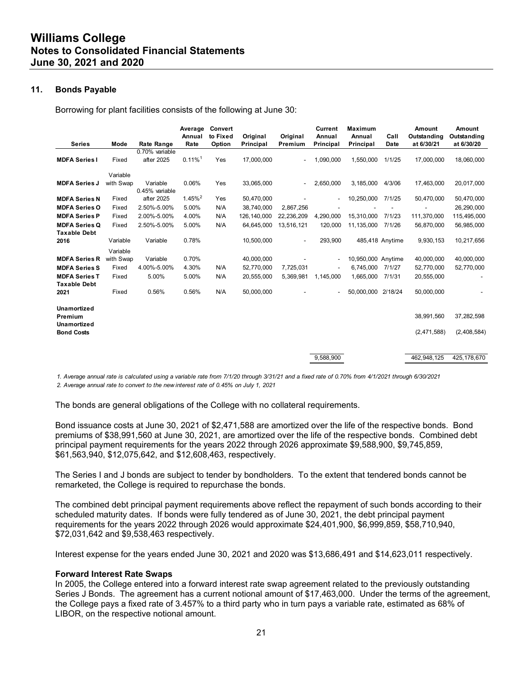## **11. Bonds Payable**

Borrowing for plant facilities consists of the following at June 30:

| <b>Series</b>                               | Mode      | Rate Range                 | Average<br>Annual<br>Rate | Convert<br>to Fixed<br>Option | Original<br>Principal | Original<br>Premium | Current<br>Annual<br>Principal | <b>Maximum</b><br>Annual<br>Principal | Call<br>Date    | Amount<br>Outstanding<br>at 6/30/21 | <b>Amount</b><br>Outstanding<br>at 6/30/20 |
|---------------------------------------------|-----------|----------------------------|---------------------------|-------------------------------|-----------------------|---------------------|--------------------------------|---------------------------------------|-----------------|-------------------------------------|--------------------------------------------|
|                                             |           | 0.70% variable             |                           |                               |                       |                     |                                |                                       |                 |                                     |                                            |
| <b>MDFA Series I</b>                        | Fixed     | after 2025                 | $0.11\%$ <sup>1</sup>     | Yes                           | 17,000,000            |                     | 1.090.000                      | 1.550.000                             | 1/1/25          | 17.000.000                          | 18,060,000                                 |
|                                             | Variable  |                            |                           |                               |                       |                     |                                |                                       |                 |                                     |                                            |
| <b>MDFA Series J</b>                        | with Swap | Variable<br>0.45% variable | 0.06%                     | Yes                           | 33,065,000            |                     | 2,650,000                      | 3,185,000                             | 4/3/06          | 17,463,000                          | 20,017,000                                 |
| <b>MDFA Series N</b>                        | Fixed     | after 2025                 | $1.45\%$ <sup>2</sup>     | Yes                           | 50,470,000            |                     |                                | 10,250,000                            | 7/1/25          | 50,470,000                          | 50,470,000                                 |
| <b>MDFA Series O</b>                        | Fixed     | 2.50%-5.00%                | 5.00%                     | N/A                           | 38,740,000            | 2,867,256           |                                |                                       |                 |                                     | 26,290,000                                 |
| <b>MDFA Series P</b>                        | Fixed     | 2.00%-5.00%                | 4.00%                     | N/A                           | 126, 140, 000         | 22,236,209          | 4,290,000                      | 15,310,000                            | 7/1/23          | 111,370,000                         | 115,495,000                                |
| <b>MDFA Series Q</b>                        | Fixed     | 2.50%-5.00%                | 5.00%                     | N/A                           | 64,645,000            | 13,516,121          | 120,000                        | 11,135,000                            | 7/1/26          | 56,870,000                          | 56,985,000                                 |
| <b>Taxable Debt</b>                         |           |                            |                           |                               |                       |                     |                                |                                       |                 |                                     |                                            |
| 2016                                        | Variable  | Variable                   | 0.78%                     |                               | 10,500,000            |                     | 293,900                        |                                       | 485,418 Anytime | 9,930,153                           | 10,217,656                                 |
|                                             | Variable  |                            |                           |                               |                       |                     |                                |                                       |                 |                                     |                                            |
| <b>MDFA Series R</b>                        | with Swap | Variable                   | 0.70%                     |                               | 40,000,000            |                     | $\overline{\phantom{0}}$       | 10,950,000 Anytime                    |                 | 40,000,000                          | 40,000,000                                 |
| <b>MDFA Series S</b>                        | Fixed     | 4.00%-5.00%                | 4.30%                     | N/A                           | 52,770,000            | 7,725,031           |                                | 6,745,000                             | 7/1/27          | 52,770,000                          | 52,770,000                                 |
| <b>MDFA Series T</b><br><b>Taxable Debt</b> | Fixed     | 5.00%                      | 5.00%                     | N/A                           | 20,555,000            | 5,369,981           | 1,145,000                      | 1,665,000                             | 7/1/31          | 20,555,000                          |                                            |
| 2021                                        | Fixed     | 0.56%                      | 0.56%                     | N/A                           | 50,000,000            |                     |                                | 50.000.000                            | 2/18/24         | 50,000,000                          |                                            |
| <b>Unamortized</b>                          |           |                            |                           |                               |                       |                     |                                |                                       |                 |                                     |                                            |
| Premium<br><b>Unamortized</b>               |           |                            |                           |                               |                       |                     |                                |                                       |                 | 38,991,560                          | 37,282,598                                 |
| <b>Bond Costs</b>                           |           |                            |                           |                               |                       |                     |                                |                                       |                 | (2,471,588)                         | (2,408,584)                                |
|                                             |           |                            |                           |                               |                       |                     |                                |                                       |                 |                                     |                                            |
|                                             |           |                            |                           |                               |                       |                     | 9,588,900                      |                                       |                 | 462,948,125                         | 425,178,670                                |

*1. Average annual rate is calculated using a variable rate from 7/1/20 through 3/31/21 and a fixed rate of 0.70% from 4/1/2021 through 6/30/2021* 

*2. Average annual rate to convert to the new interest rate of 0.45% on July 1, 2021*

The bonds are general obligations of the College with no collateral requirements.

Bond issuance costs at June 30, 2021 of \$2,471,588 are amortized over the life of the respective bonds. Bond premiums of \$38,991,560 at June 30, 2021, are amortized over the life of the respective bonds. Combined debt principal payment requirements for the years 2022 through 2026 approximate \$9,588,900, \$9,745,859, \$61,563,940, \$12,075,642, and \$12,608,463, respectively.

The Series I and J bonds are subject to tender by bondholders. To the extent that tendered bonds cannot be remarketed, the College is required to repurchase the bonds.

The combined debt principal payment requirements above reflect the repayment of such bonds according to their scheduled maturity dates. If bonds were fully tendered as of June 30, 2021, the debt principal payment requirements for the years 2022 through 2026 would approximate \$24,401,900, \$6,999,859, \$58,710,940, \$72,031,642 and \$9,538,463 respectively.

Interest expense for the years ended June 30, 2021 and 2020 was \$13,686,491 and \$14,623,011 respectively.

#### **Forward Interest Rate Swaps**

In 2005, the College entered into a forward interest rate swap agreement related to the previously outstanding Series J Bonds. The agreement has a current notional amount of \$17,463,000. Under the terms of the agreement, the College pays a fixed rate of 3.457% to a third party who in turn pays a variable rate, estimated as 68% of LIBOR, on the respective notional amount.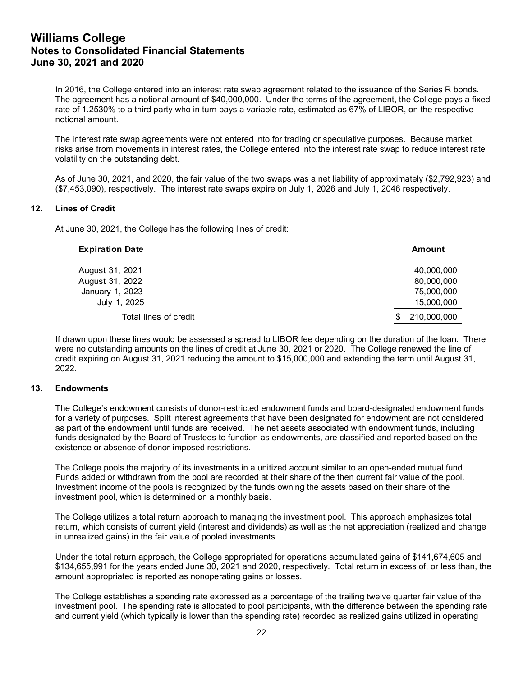In 2016, the College entered into an interest rate swap agreement related to the issuance of the Series R bonds. The agreement has a notional amount of \$40,000,000. Under the terms of the agreement, the College pays a fixed rate of 1.2530% to a third party who in turn pays a variable rate, estimated as 67% of LIBOR, on the respective notional amount.

The interest rate swap agreements were not entered into for trading or speculative purposes. Because market risks arise from movements in interest rates, the College entered into the interest rate swap to reduce interest rate volatility on the outstanding debt.

As of June 30, 2021, and 2020, the fair value of the two swaps was a net liability of approximately (\$2,792,923) and (\$7,453,090), respectively. The interest rate swaps expire on July 1, 2026 and July 1, 2046 respectively.

#### **12. Lines of Credit**

At June 30, 2021, the College has the following lines of credit:

| <b>Expiration Date</b> | Amount           |
|------------------------|------------------|
| August 31, 2021        | 40,000,000       |
| August 31, 2022        | 80,000,000       |
| January 1, 2023        | 75,000,000       |
| July 1, 2025           | 15,000,000       |
| Total lines of credit  | 210,000,000<br>S |

If drawn upon these lines would be assessed a spread to LIBOR fee depending on the duration of the loan. There were no outstanding amounts on the lines of credit at June 30, 2021 or 2020. The College renewed the line of credit expiring on August 31, 2021 reducing the amount to \$15,000,000 and extending the term until August 31, 2022.

#### **13. Endowments**

The College's endowment consists of donor-restricted endowment funds and board-designated endowment funds for a variety of purposes. Split interest agreements that have been designated for endowment are not considered as part of the endowment until funds are received. The net assets associated with endowment funds, including funds designated by the Board of Trustees to function as endowments, are classified and reported based on the existence or absence of donor-imposed restrictions.

The College pools the majority of its investments in a unitized account similar to an open-ended mutual fund. Funds added or withdrawn from the pool are recorded at their share of the then current fair value of the pool. Investment income of the pools is recognized by the funds owning the assets based on their share of the investment pool, which is determined on a monthly basis.

The College utilizes a total return approach to managing the investment pool. This approach emphasizes total return, which consists of current yield (interest and dividends) as well as the net appreciation (realized and change in unrealized gains) in the fair value of pooled investments.

Under the total return approach, the College appropriated for operations accumulated gains of \$141,674,605 and \$134,655,991 for the years ended June 30, 2021 and 2020, respectively. Total return in excess of, or less than, the amount appropriated is reported as nonoperating gains or losses.

The College establishes a spending rate expressed as a percentage of the trailing twelve quarter fair value of the investment pool. The spending rate is allocated to pool participants, with the difference between the spending rate and current yield (which typically is lower than the spending rate) recorded as realized gains utilized in operating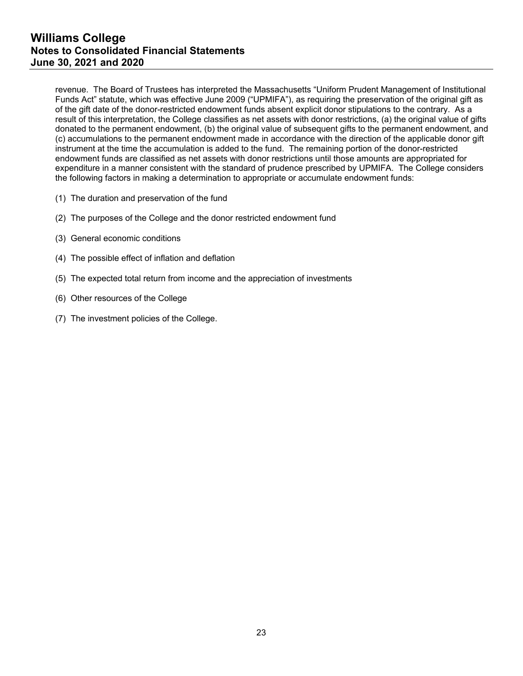revenue. The Board of Trustees has interpreted the Massachusetts "Uniform Prudent Management of Institutional Funds Act" statute, which was effective June 2009 ("UPMIFA"), as requiring the preservation of the original gift as of the gift date of the donor-restricted endowment funds absent explicit donor stipulations to the contrary. As a result of this interpretation, the College classifies as net assets with donor restrictions, (a) the original value of gifts donated to the permanent endowment, (b) the original value of subsequent gifts to the permanent endowment, and (c) accumulations to the permanent endowment made in accordance with the direction of the applicable donor gift instrument at the time the accumulation is added to the fund. The remaining portion of the donor-restricted endowment funds are classified as net assets with donor restrictions until those amounts are appropriated for expenditure in a manner consistent with the standard of prudence prescribed by UPMIFA. The College considers the following factors in making a determination to appropriate or accumulate endowment funds:

- (1) The duration and preservation of the fund
- (2) The purposes of the College and the donor restricted endowment fund
- (3) General economic conditions
- (4) The possible effect of inflation and deflation
- (5) The expected total return from income and the appreciation of investments
- (6) Other resources of the College
- (7) The investment policies of the College.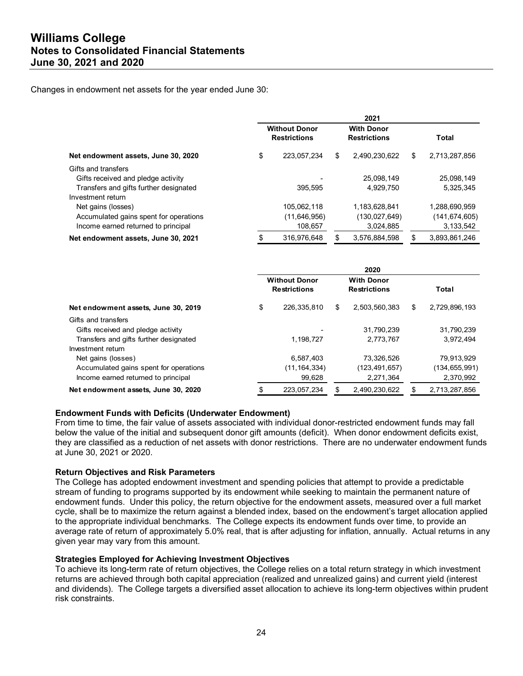Changes in endowment net assets for the year ended June 30:

|                                        |                                             |    | 2021                                     |   |               |
|----------------------------------------|---------------------------------------------|----|------------------------------------------|---|---------------|
|                                        | <b>Without Donor</b><br><b>Restrictions</b> |    | <b>With Donor</b><br><b>Restrictions</b> |   | Total         |
| Net endowment assets, June 30, 2020    | \$<br>223.057.234                           | \$ | 2.490.230.622                            | S | 2,713,287,856 |
| Gifts and transfers                    |                                             |    |                                          |   |               |
| Gifts received and pledge activity     | ٠                                           |    | 25,098,149                               |   | 25,098,149    |
| Transfers and gifts further designated | 395.595                                     |    | 4,929,750                                |   | 5,325,345     |
| Investment return                      |                                             |    |                                          |   |               |
| Net gains (losses)                     | 105.062.118                                 |    | 1.183.628.841                            |   | 1,288,690,959 |
| Accumulated gains spent for operations | (11, 646, 956)                              |    | (130, 027, 649)                          |   | (141,674,605) |
| Income earned returned to principal    | 108,657                                     |    | 3,024,885                                |   | 3.133,542     |
| Net endowment assets, June 30, 2021    | \$<br>316.976.648                           |    | 3.576.884.598                            |   | 3.893.861.246 |

|                                        | 2020 |                                             |    |                                          |    |                 |  |  |
|----------------------------------------|------|---------------------------------------------|----|------------------------------------------|----|-----------------|--|--|
|                                        |      | <b>Without Donor</b><br><b>Restrictions</b> |    | <b>With Donor</b><br><b>Restrictions</b> |    | Total           |  |  |
| Net endowment assets, June 30, 2019    | \$   | 226.335.810                                 | \$ | 2,503,560,383                            | \$ | 2,729,896,193   |  |  |
| Gifts and transfers                    |      |                                             |    |                                          |    |                 |  |  |
| Gifts received and pledge activity     |      |                                             |    | 31.790.239                               |    | 31.790.239      |  |  |
| Transfers and gifts further designated |      | 1,198,727                                   |    | 2,773,767                                |    | 3.972.494       |  |  |
| Investment return                      |      |                                             |    |                                          |    |                 |  |  |
| Net gains (losses)                     |      | 6.587.403                                   |    | 73.326.526                               |    | 79.913.929      |  |  |
| Accumulated gains spent for operations |      | (11, 164, 334)                              |    | (123, 491, 657)                          |    | (134, 655, 991) |  |  |
| Income earned returned to principal    |      | 99,628                                      |    | 2.271.364                                |    | 2,370,992       |  |  |
| Net endowment assets, June 30, 2020    |      | 223.057.234                                 |    | 2,490,230,622                            |    | 2,713,287,856   |  |  |

#### **Endowment Funds with Deficits (Underwater Endowment)**

From time to time, the fair value of assets associated with individual donor-restricted endowment funds may fall below the value of the initial and subsequent donor gift amounts (deficit). When donor endowment deficits exist, they are classified as a reduction of net assets with donor restrictions. There are no underwater endowment funds at June 30, 2021 or 2020.

#### **Return Objectives and Risk Parameters**

The College has adopted endowment investment and spending policies that attempt to provide a predictable stream of funding to programs supported by its endowment while seeking to maintain the permanent nature of endowment funds. Under this policy, the return objective for the endowment assets, measured over a full market cycle, shall be to maximize the return against a blended index, based on the endowment's target allocation applied to the appropriate individual benchmarks. The College expects its endowment funds over time, to provide an average rate of return of approximately 5.0% real, that is after adjusting for inflation, annually. Actual returns in any given year may vary from this amount.

#### **Strategies Employed for Achieving Investment Objectives**

To achieve its long-term rate of return objectives, the College relies on a total return strategy in which investment returns are achieved through both capital appreciation (realized and unrealized gains) and current yield (interest and dividends). The College targets a diversified asset allocation to achieve its long-term objectives within prudent risk constraints.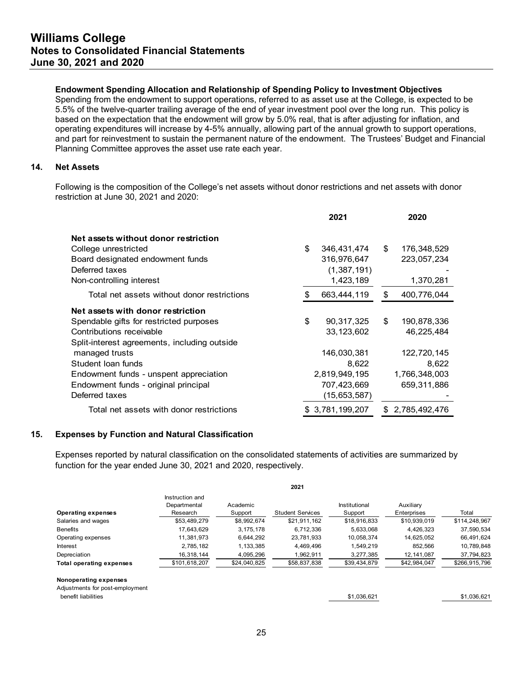#### **Endowment Spending Allocation and Relationship of Spending Policy to Investment Objectives**

Spending from the endowment to support operations, referred to as asset use at the College, is expected to be 5.5% of the twelve-quarter trailing average of the end of year investment pool over the long run. This policy is based on the expectation that the endowment will grow by 5.0% real, that is after adjusting for inflation, and operating expenditures will increase by 4-5% annually, allowing part of the annual growth to support operations, and part for reinvestment to sustain the permanent nature of the endowment. The Trustees' Budget and Financial Planning Committee approves the asset use rate each year.

#### **14. Net Assets**

Following is the composition of the College's net assets without donor restrictions and net assets with donor restriction at June 30, 2021 and 2020:

|    | 2021           |                                  | 2020          |
|----|----------------|----------------------------------|---------------|
|    |                |                                  |               |
| \$ | 346,431,474    | \$                               | 176,348,529   |
|    | 316,976,647    |                                  | 223,057,234   |
|    | (1,387,191)    |                                  |               |
|    | 1,423,189      |                                  | 1,370,281     |
| S  | 663,444,119    | \$                               | 400,776,044   |
|    |                |                                  |               |
| \$ | 90,317,325     | \$                               | 190,878,336   |
|    | 33, 123, 602   |                                  | 46,225,484    |
|    |                |                                  |               |
|    | 146,030,381    |                                  | 122,720,145   |
|    | 8,622          |                                  | 8,622         |
|    |                |                                  | 1,766,348,003 |
|    | 707,423,669    |                                  | 659,311,886   |
|    | (15, 653, 587) |                                  |               |
|    |                | S                                | 2,785,492,476 |
|    |                | 2,819,949,195<br>\$3,781,199,207 |               |

#### **15. Expenses by Function and Natural Classification**

Expenses reported by natural classification on the consolidated statements of activities are summarized by function for the year ended June 30, 2021 and 2020, respectively.

|                                                          |                                             |                     | 2021                    |                          |                          |               |
|----------------------------------------------------------|---------------------------------------------|---------------------|-------------------------|--------------------------|--------------------------|---------------|
| <b>Operating expenses</b>                                | Instruction and<br>Departmental<br>Research | Academic<br>Support | <b>Student Services</b> | Institutional<br>Support | Auxiliary<br>Enterprises | Total         |
| Salaries and wages                                       | \$53,489,279                                | \$8,992,674         | \$21,911,162            | \$18,916,833             | \$10,939,019             | \$114,248,967 |
| <b>Benefits</b>                                          | 17.643.629                                  | 3.175.178           | 6.712.336               | 5.633.068                | 4.426.323                | 37,590,534    |
| Operating expenses                                       | 11.381.973                                  | 6.644.292           | 23.781.933              | 10.058.374               | 14,625,052               | 66,491,624    |
| Interest                                                 | 2,785,182                                   | 1.133.385           | 4.469.496               | 1.549.219                | 852.566                  | 10,789,848    |
| Depreciation                                             | 16.318.144                                  | 4,095,296           | 1,962,911               | 3,277,385                | 12, 141, 087             | 37,794,823    |
| Total operating expenses                                 | \$101.618.207                               | \$24,040,825        | \$58,837,838            | \$39,434,879             | \$42.984.047             | \$266.915.796 |
| Nonoperating expenses<br>Adjustments for post-employment |                                             |                     |                         |                          |                          |               |

benefit liabilities \$1,036,621 \$1,036,621